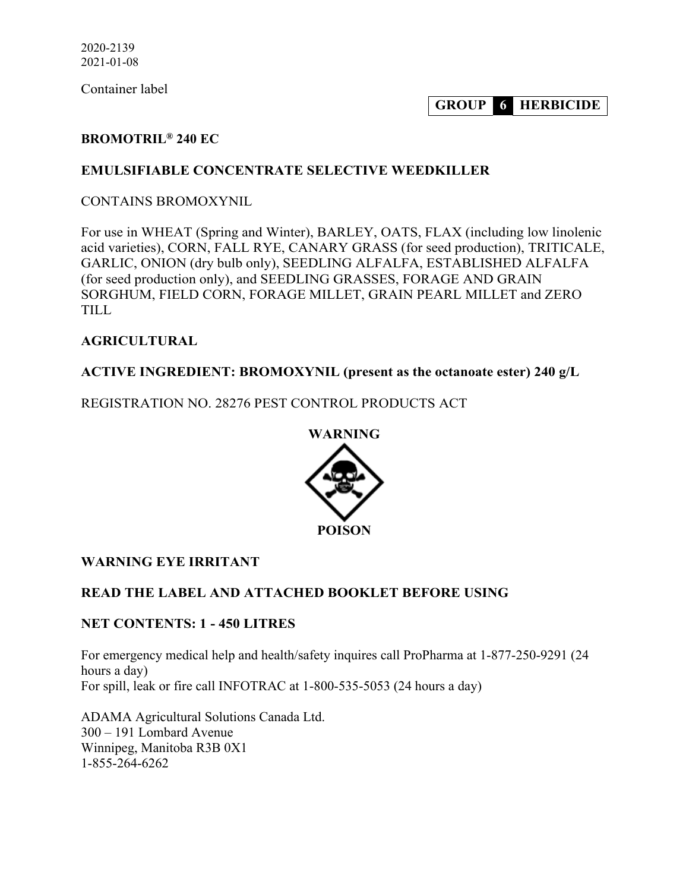Container label

**GROUP 6 HERBICIDE**

# **BROMOTRIL® 240 EC**

#### **EMULSIFIABLE CONCENTRATE SELECTIVE WEEDKILLER**

CONTAINS BROMOXYNIL

For use in WHEAT (Spring and Winter), BARLEY, OATS, FLAX (including low linolenic acid varieties), CORN, FALL RYE, CANARY GRASS (for seed production), TRITICALE, GARLIC, ONION (dry bulb only), SEEDLING ALFALFA, ESTABLISHED ALFALFA (for seed production only), and SEEDLING GRASSES, FORAGE AND GRAIN SORGHUM, FIELD CORN, FORAGE MILLET, GRAIN PEARL MILLET and ZERO TILL

#### **AGRICULTURAL**

#### **ACTIVE INGREDIENT: BROMOXYNIL (present as the octanoate ester) 240 g/L**

REGISTRATION NO. 28276 PEST CONTROL PRODUCTS ACT



#### **WARNING EYE IRRITANT**

#### **READ THE LABEL AND ATTACHED BOOKLET BEFORE USING**

#### **NET CONTENTS: 1 - 450 LITRES**

For emergency medical help and health/safety inquires call ProPharma at 1-877-250-9291 (24 hours a day) For spill, leak or fire call INFOTRAC at 1-800-535-5053 (24 hours a day)

ADAMA Agricultural Solutions Canada Ltd. 300 – 191 Lombard Avenue Winnipeg, Manitoba R3B 0X1 1-855-264-6262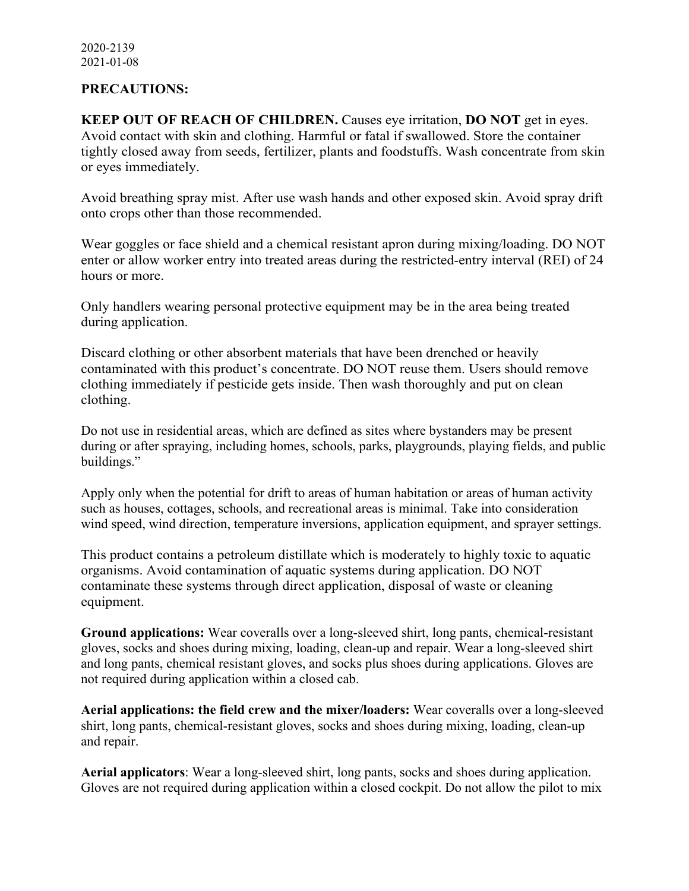#### **PRECAUTIONS:**

**KEEP OUT OF REACH OF CHILDREN.** Causes eye irritation, **DO NOT** get in eyes. Avoid contact with skin and clothing. Harmful or fatal if swallowed. Store the container tightly closed away from seeds, fertilizer, plants and foodstuffs. Wash concentrate from skin or eyes immediately.

Avoid breathing spray mist. After use wash hands and other exposed skin. Avoid spray drift onto crops other than those recommended.

Wear goggles or face shield and a chemical resistant apron during mixing/loading. DO NOT enter or allow worker entry into treated areas during the restricted-entry interval (REI) of 24 hours or more.

Only handlers wearing personal protective equipment may be in the area being treated during application.

Discard clothing or other absorbent materials that have been drenched or heavily contaminated with this product's concentrate. DO NOT reuse them. Users should remove clothing immediately if pesticide gets inside. Then wash thoroughly and put on clean clothing.

Do not use in residential areas, which are defined as sites where bystanders may be present during or after spraying, including homes, schools, parks, playgrounds, playing fields, and public buildings."

Apply only when the potential for drift to areas of human habitation or areas of human activity such as houses, cottages, schools, and recreational areas is minimal. Take into consideration wind speed, wind direction, temperature inversions, application equipment, and sprayer settings.

This product contains a petroleum distillate which is moderately to highly toxic to aquatic organisms. Avoid contamination of aquatic systems during application. DO NOT contaminate these systems through direct application, disposal of waste or cleaning equipment.

**Ground applications:** Wear coveralls over a long-sleeved shirt, long pants, chemical-resistant gloves, socks and shoes during mixing, loading, clean-up and repair. Wear a long-sleeved shirt and long pants, chemical resistant gloves, and socks plus shoes during applications. Gloves are not required during application within a closed cab.

**Aerial applications: the field crew and the mixer/loaders:** Wear coveralls over a long-sleeved shirt, long pants, chemical-resistant gloves, socks and shoes during mixing, loading, clean-up and repair.

**Aerial applicators**: Wear a long-sleeved shirt, long pants, socks and shoes during application. Gloves are not required during application within a closed cockpit. Do not allow the pilot to mix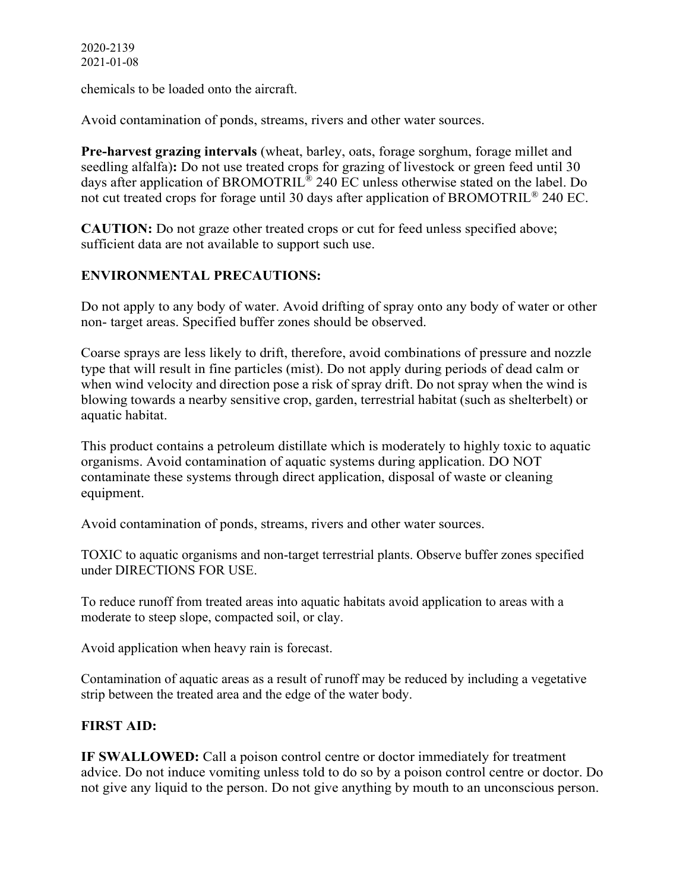chemicals to be loaded onto the aircraft.

Avoid contamination of ponds, streams, rivers and other water sources.

**Pre-harvest grazing intervals** (wheat, barley, oats, forage sorghum, forage millet and seedling alfalfa)**:** Do not use treated crops for grazing of livestock or green feed until 30 days after application of BROMOTRIL® 240 EC unless otherwise stated on the label. Do not cut treated crops for forage until 30 days after application of BROMOTRIL® 240 EC.

**CAUTION:** Do not graze other treated crops or cut for feed unless specified above; sufficient data are not available to support such use.

# **ENVIRONMENTAL PRECAUTIONS:**

Do not apply to any body of water. Avoid drifting of spray onto any body of water or other non- target areas. Specified buffer zones should be observed.

Coarse sprays are less likely to drift, therefore, avoid combinations of pressure and nozzle type that will result in fine particles (mist). Do not apply during periods of dead calm or when wind velocity and direction pose a risk of spray drift. Do not spray when the wind is blowing towards a nearby sensitive crop, garden, terrestrial habitat (such as shelterbelt) or aquatic habitat.

This product contains a petroleum distillate which is moderately to highly toxic to aquatic organisms. Avoid contamination of aquatic systems during application. DO NOT contaminate these systems through direct application, disposal of waste or cleaning equipment.

Avoid contamination of ponds, streams, rivers and other water sources.

TOXIC to aquatic organisms and non-target terrestrial plants. Observe buffer zones specified under DIRECTIONS FOR USE.

To reduce runoff from treated areas into aquatic habitats avoid application to areas with a moderate to steep slope, compacted soil, or clay.

Avoid application when heavy rain is forecast.

Contamination of aquatic areas as a result of runoff may be reduced by including a vegetative strip between the treated area and the edge of the water body.

#### **FIRST AID:**

**IF SWALLOWED:** Call a poison control centre or doctor immediately for treatment advice. Do not induce vomiting unless told to do so by a poison control centre or doctor. Do not give any liquid to the person. Do not give anything by mouth to an unconscious person.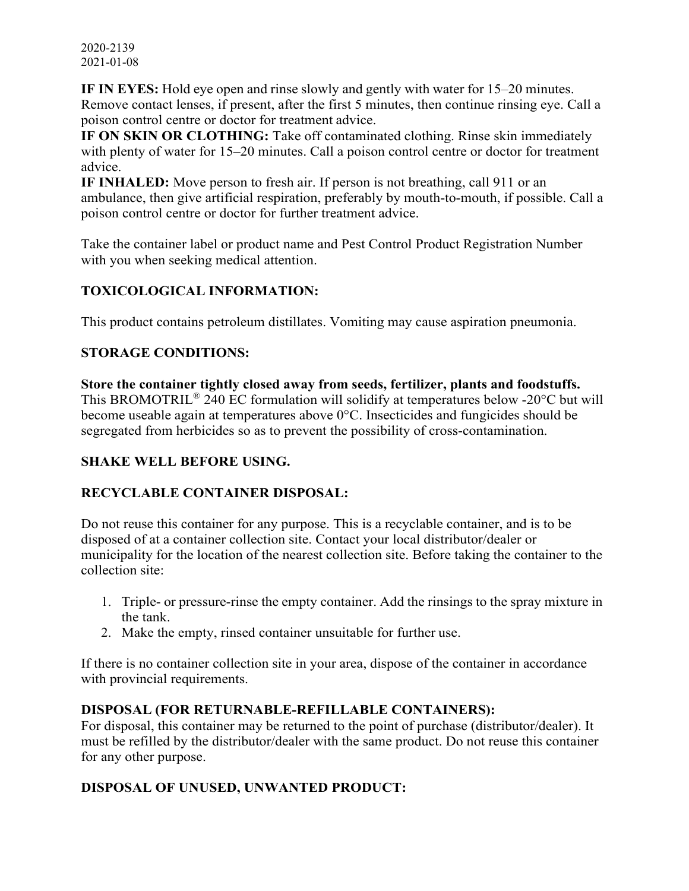2020-2139 2021-01-08

**IF IN EYES:** Hold eye open and rinse slowly and gently with water for 15–20 minutes. Remove contact lenses, if present, after the first 5 minutes, then continue rinsing eye. Call a poison control centre or doctor for treatment advice.

**IF ON SKIN OR CLOTHING:** Take off contaminated clothing. Rinse skin immediately with plenty of water for 15–20 minutes. Call a poison control centre or doctor for treatment advice.

**IF INHALED:** Move person to fresh air. If person is not breathing, call 911 or an ambulance, then give artificial respiration, preferably by mouth-to-mouth, if possible. Call a poison control centre or doctor for further treatment advice.

Take the container label or product name and Pest Control Product Registration Number with you when seeking medical attention.

# **TOXICOLOGICAL INFORMATION:**

This product contains petroleum distillates. Vomiting may cause aspiration pneumonia.

# **STORAGE CONDITIONS:**

**Store the container tightly closed away from seeds, fertilizer, plants and foodstuffs.** This BROMOTRIL® 240 EC formulation will solidify at temperatures below -20°C but will become useable again at temperatures above 0°C. Insecticides and fungicides should be segregated from herbicides so as to prevent the possibility of cross-contamination.

# **SHAKE WELL BEFORE USING.**

# **RECYCLABLE CONTAINER DISPOSAL:**

Do not reuse this container for any purpose. This is a recyclable container, and is to be disposed of at a container collection site. Contact your local distributor/dealer or municipality for the location of the nearest collection site. Before taking the container to the collection site:

- 1. Triple- or pressure-rinse the empty container. Add the rinsings to the spray mixture in the tank.
- 2. Make the empty, rinsed container unsuitable for further use.

If there is no container collection site in your area, dispose of the container in accordance with provincial requirements.

#### **DISPOSAL (FOR RETURNABLE-REFILLABLE CONTAINERS):**

For disposal, this container may be returned to the point of purchase (distributor/dealer). It must be refilled by the distributor/dealer with the same product. Do not reuse this container for any other purpose.

# **DISPOSAL OF UNUSED, UNWANTED PRODUCT:**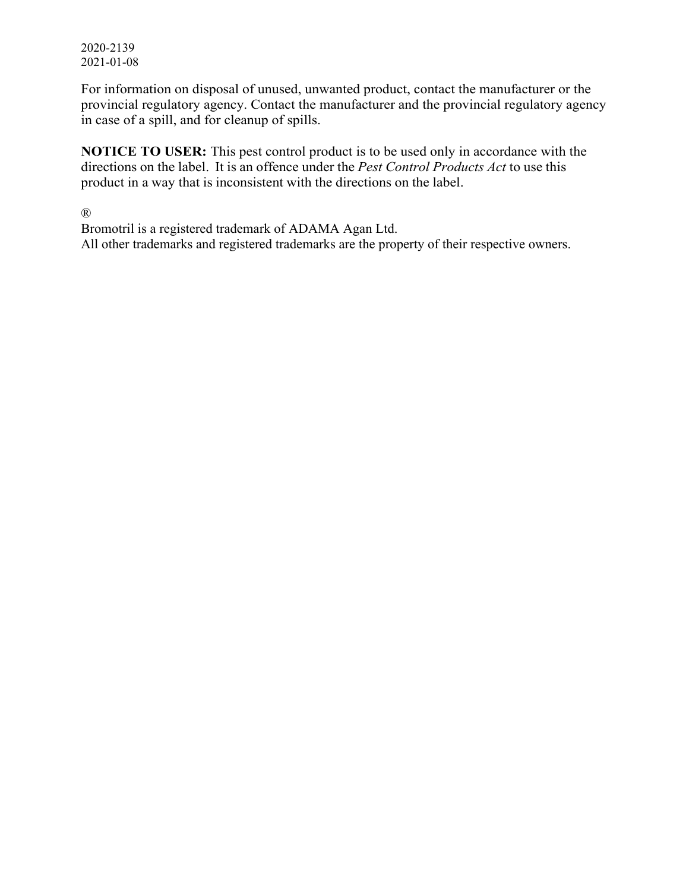2020-2139 2021-01-08

For information on disposal of unused, unwanted product, contact the manufacturer or the provincial regulatory agency. Contact the manufacturer and the provincial regulatory agency in case of a spill, and for cleanup of spills.

**NOTICE TO USER:** This pest control product is to be used only in accordance with the directions on the label. It is an offence under the *Pest Control Products Act* to use this product in a way that is inconsistent with the directions on the label.

®

Bromotril is a registered trademark of ADAMA Agan Ltd. All other trademarks and registered trademarks are the property of their respective owners.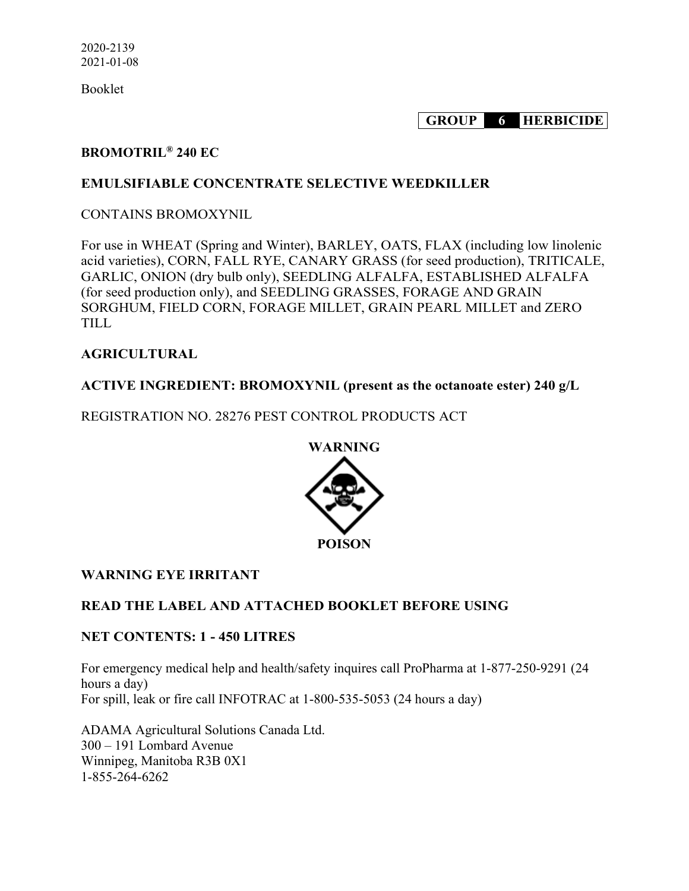Booklet

**GROUP 6 HERBICIDE**

#### **BROMOTRIL® 240 EC**

#### **EMULSIFIABLE CONCENTRATE SELECTIVE WEEDKILLER**

#### CONTAINS BROMOXYNIL

For use in WHEAT (Spring and Winter), BARLEY, OATS, FLAX (including low linolenic acid varieties), CORN, FALL RYE, CANARY GRASS (for seed production), TRITICALE, GARLIC, ONION (dry bulb only), SEEDLING ALFALFA, ESTABLISHED ALFALFA (for seed production only), and SEEDLING GRASSES, FORAGE AND GRAIN SORGHUM, FIELD CORN, FORAGE MILLET, GRAIN PEARL MILLET and ZERO TILL

#### **AGRICULTURAL**

#### **ACTIVE INGREDIENT: BROMOXYNIL (present as the octanoate ester) 240 g/L**

REGISTRATION NO. 28276 PEST CONTROL PRODUCTS ACT



#### **WARNING EYE IRRITANT**

#### **READ THE LABEL AND ATTACHED BOOKLET BEFORE USING**

#### **NET CONTENTS: 1 - 450 LITRES**

For emergency medical help and health/safety inquires call ProPharma at 1-877-250-9291 (24 hours a day) For spill, leak or fire call INFOTRAC at 1-800-535-5053 (24 hours a day)

ADAMA Agricultural Solutions Canada Ltd. 300 – 191 Lombard Avenue Winnipeg, Manitoba R3B 0X1 1-855-264-6262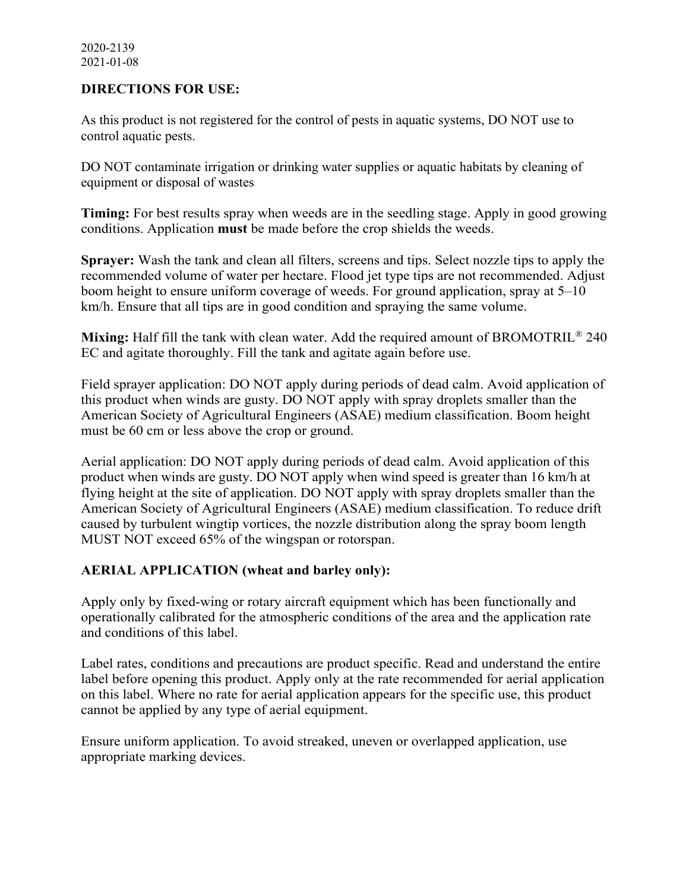#### **DIRECTIONS FOR USE:**

As this product is not registered for the control of pests in aquatic systems, DO NOT use to control aquatic pests.

DO NOT contaminate irrigation or drinking water supplies or aquatic habitats by cleaning of equipment or disposal of wastes

**Timing:** For best results spray when weeds are in the seedling stage. Apply in good growing conditions. Application **must** be made before the crop shields the weeds.

**Sprayer:** Wash the tank and clean all filters, screens and tips. Select nozzle tips to apply the recommended volume of water per hectare. Flood jet type tips are not recommended. Adjust boom height to ensure uniform coverage of weeds. For ground application, spray at 5–10 km/h. Ensure that all tips are in good condition and spraying the same volume.

**Mixing:** Half fill the tank with clean water. Add the required amount of BROMOTRIL<sup>®</sup> 240 EC and agitate thoroughly. Fill the tank and agitate again before use.

Field sprayer application: DO NOT apply during periods of dead calm. Avoid application of this product when winds are gusty. DO NOT apply with spray droplets smaller than the American Society of Agricultural Engineers (ASAE) medium classification. Boom height must be 60 cm or less above the crop or ground.

Aerial application: DO NOT apply during periods of dead calm. Avoid application of this product when winds are gusty. DO NOT apply when wind speed is greater than 16 km/h at flying height at the site of application. DO NOT apply with spray droplets smaller than the American Society of Agricultural Engineers (ASAE) medium classification. To reduce drift caused by turbulent wingtip vortices, the nozzle distribution along the spray boom length MUST NOT exceed 65% of the wingspan or rotorspan.

#### **AERIAL APPLICATION (wheat and barley only):**

Apply only by fixed-wing or rotary aircraft equipment which has been functionally and operationally calibrated for the atmospheric conditions of the area and the application rate and conditions of this label.

Label rates, conditions and precautions are product specific. Read and understand the entire label before opening this product. Apply only at the rate recommended for aerial application on this label. Where no rate for aerial application appears for the specific use, this product cannot be applied by any type of aerial equipment.

Ensure uniform application. To avoid streaked, uneven or overlapped application, use appropriate marking devices.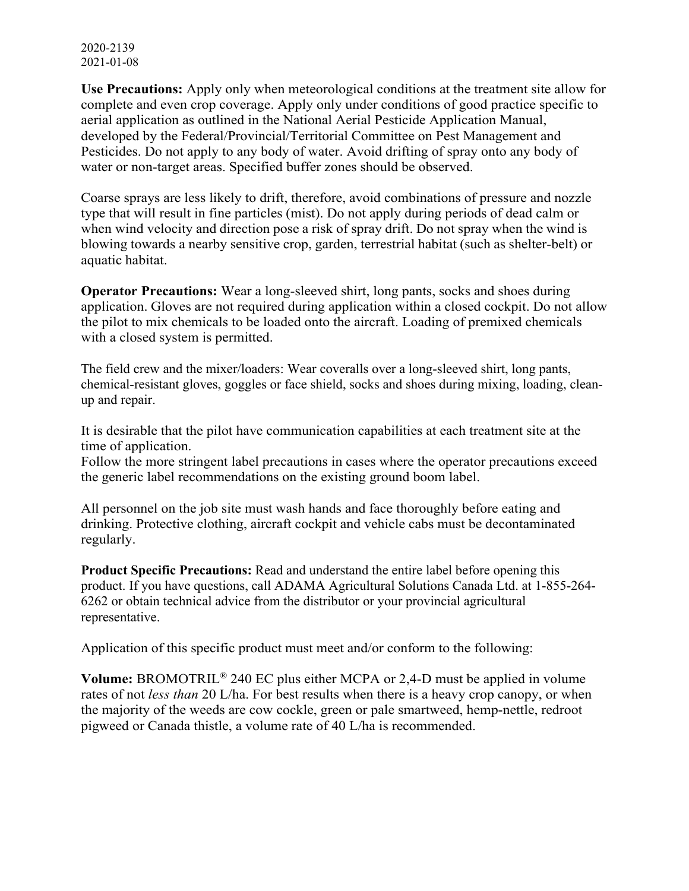2020-2139 2021-01-08

**Use Precautions:** Apply only when meteorological conditions at the treatment site allow for complete and even crop coverage. Apply only under conditions of good practice specific to aerial application as outlined in the National Aerial Pesticide Application Manual, developed by the Federal/Provincial/Territorial Committee on Pest Management and Pesticides. Do not apply to any body of water. Avoid drifting of spray onto any body of water or non-target areas. Specified buffer zones should be observed.

Coarse sprays are less likely to drift, therefore, avoid combinations of pressure and nozzle type that will result in fine particles (mist). Do not apply during periods of dead calm or when wind velocity and direction pose a risk of spray drift. Do not spray when the wind is blowing towards a nearby sensitive crop, garden, terrestrial habitat (such as shelter-belt) or aquatic habitat.

**Operator Precautions:** Wear a long-sleeved shirt, long pants, socks and shoes during application. Gloves are not required during application within a closed cockpit. Do not allow the pilot to mix chemicals to be loaded onto the aircraft. Loading of premixed chemicals with a closed system is permitted.

The field crew and the mixer/loaders: Wear coveralls over a long-sleeved shirt, long pants, chemical-resistant gloves, goggles or face shield, socks and shoes during mixing, loading, cleanup and repair.

It is desirable that the pilot have communication capabilities at each treatment site at the time of application.

Follow the more stringent label precautions in cases where the operator precautions exceed the generic label recommendations on the existing ground boom label.

All personnel on the job site must wash hands and face thoroughly before eating and drinking. Protective clothing, aircraft cockpit and vehicle cabs must be decontaminated regularly.

**Product Specific Precautions:** Read and understand the entire label before opening this product. If you have questions, call ADAMA Agricultural Solutions Canada Ltd. at 1-855-264- 6262 or obtain technical advice from the distributor or your provincial agricultural representative.

Application of this specific product must meet and/or conform to the following:

**Volume:** BROMOTRIL® 240 EC plus either MCPA or 2,4-D must be applied in volume rates of not *less than* 20 L/ha. For best results when there is a heavy crop canopy, or when the majority of the weeds are cow cockle, green or pale smartweed, hemp-nettle, redroot pigweed or Canada thistle, a volume rate of 40 L/ha is recommended.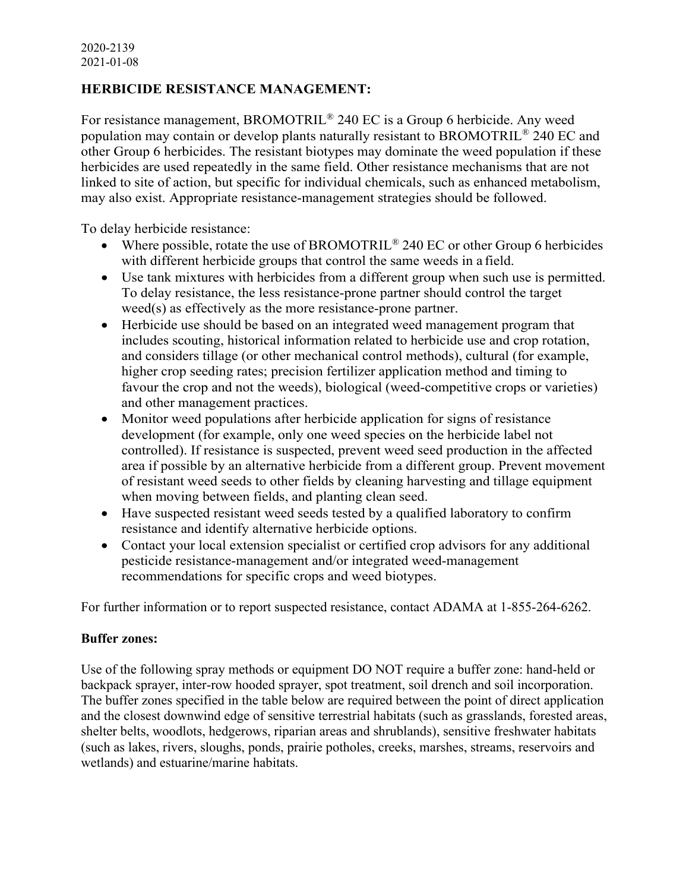# **HERBICIDE RESISTANCE MANAGEMENT:**

For resistance management, BROMOTRIL® 240 EC is a Group 6 herbicide. Any weed population may contain or develop plants naturally resistant to BROMOTRIL® 240 EC and other Group 6 herbicides. The resistant biotypes may dominate the weed population if these herbicides are used repeatedly in the same field. Other resistance mechanisms that are not linked to site of action, but specific for individual chemicals, such as enhanced metabolism, may also exist. Appropriate resistance-management strategies should be followed.

To delay herbicide resistance:

- Where possible, rotate the use of BROMOTRIL<sup>®</sup> 240 EC or other Group 6 herbicides with different herbicide groups that control the same weeds in a field.
- Use tank mixtures with herbicides from a different group when such use is permitted. To delay resistance, the less resistance-prone partner should control the target weed(s) as effectively as the more resistance-prone partner.
- Herbicide use should be based on an integrated weed management program that includes scouting, historical information related to herbicide use and crop rotation, and considers tillage (or other mechanical control methods), cultural (for example, higher crop seeding rates; precision fertilizer application method and timing to favour the crop and not the weeds), biological (weed-competitive crops or varieties) and other management practices.
- Monitor weed populations after herbicide application for signs of resistance development (for example, only one weed species on the herbicide label not controlled). If resistance is suspected, prevent weed seed production in the affected area if possible by an alternative herbicide from a different group. Prevent movement of resistant weed seeds to other fields by cleaning harvesting and tillage equipment when moving between fields, and planting clean seed.
- Have suspected resistant weed seeds tested by a qualified laboratory to confirm resistance and identify alternative herbicide options.
- Contact your local extension specialist or certified crop advisors for any additional pesticide resistance-management and/or integrated weed-management recommendations for specific crops and weed biotypes.

For further information or to report suspected resistance, contact ADAMA at 1-855-264-6262.

#### **Buffer zones:**

Use of the following spray methods or equipment DO NOT require a buffer zone: hand-held or backpack sprayer, inter-row hooded sprayer, spot treatment, soil drench and soil incorporation. The buffer zones specified in the table below are required between the point of direct application and the closest downwind edge of sensitive terrestrial habitats (such as grasslands, forested areas, shelter belts, woodlots, hedgerows, riparian areas and shrublands), sensitive freshwater habitats (such as lakes, rivers, sloughs, ponds, prairie potholes, creeks, marshes, streams, reservoirs and wetlands) and estuarine/marine habitats.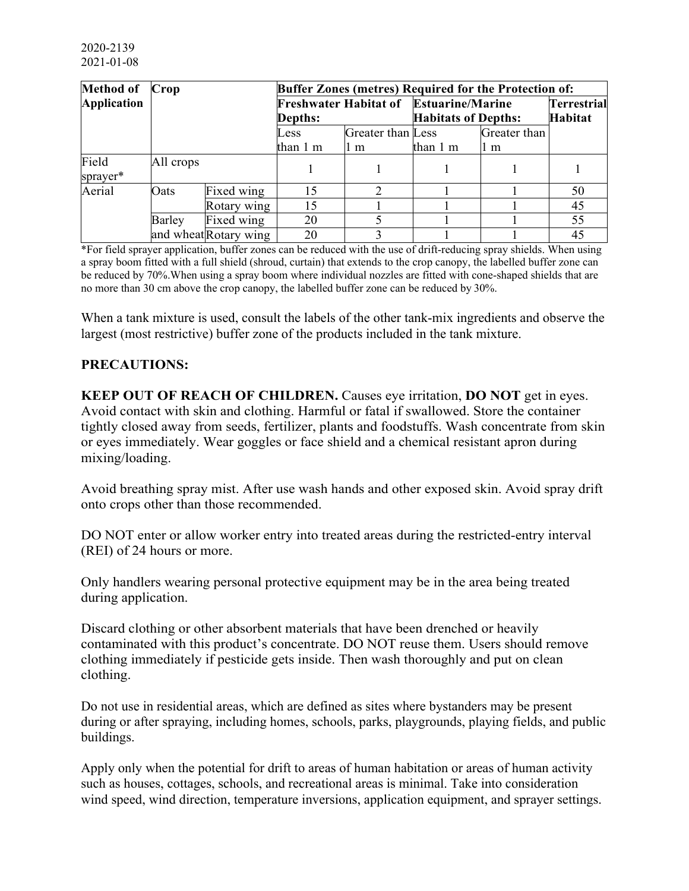|                    | Method of Crop<br><b>Buffer Zones (metres) Required for the Protection of:</b> |                       |                                               |                   |                            |              |                |
|--------------------|--------------------------------------------------------------------------------|-----------------------|-----------------------------------------------|-------------------|----------------------------|--------------|----------------|
| <b>Application</b> |                                                                                |                       | <b>Freshwater Habitat of Estuarine/Marine</b> |                   |                            |              | Terrestrial    |
|                    |                                                                                |                       | <b>Depths:</b>                                |                   | <b>Habitats of Depths:</b> |              | <b>Habitat</b> |
|                    |                                                                                |                       | Less                                          | Greater than Less |                            | Greater than |                |
|                    |                                                                                |                       | than 1 m                                      | ll m              | than 1 m                   | 1 m          |                |
| Field              | All crops                                                                      |                       |                                               |                   |                            |              |                |
| sprayer*           |                                                                                |                       |                                               |                   |                            |              |                |
| Aerial             | Oats                                                                           | Fixed wing            | 15                                            | 2                 |                            |              | 50             |
|                    |                                                                                | Rotary wing           | 15                                            |                   |                            |              | 45             |
|                    | Barley                                                                         | Fixed wing            | 20                                            |                   |                            |              | 55             |
|                    |                                                                                | and wheat Rotary wing | 20                                            |                   |                            |              | 45             |

\*For field sprayer application, buffer zones can be reduced with the use of drift-reducing spray shields. When using a spray boom fitted with a full shield (shroud, curtain) that extends to the crop canopy, the labelled buffer zone can be reduced by 70%.When using a spray boom where individual nozzles are fitted with cone-shaped shields that are no more than 30 cm above the crop canopy, the labelled buffer zone can be reduced by 30%.

When a tank mixture is used, consult the labels of the other tank-mix ingredients and observe the largest (most restrictive) buffer zone of the products included in the tank mixture.

#### **PRECAUTIONS:**

**KEEP OUT OF REACH OF CHILDREN.** Causes eye irritation, **DO NOT** get in eyes. Avoid contact with skin and clothing. Harmful or fatal if swallowed. Store the container tightly closed away from seeds, fertilizer, plants and foodstuffs. Wash concentrate from skin or eyes immediately. Wear goggles or face shield and a chemical resistant apron during mixing/loading.

Avoid breathing spray mist. After use wash hands and other exposed skin. Avoid spray drift onto crops other than those recommended.

DO NOT enter or allow worker entry into treated areas during the restricted-entry interval (REI) of 24 hours or more.

Only handlers wearing personal protective equipment may be in the area being treated during application.

Discard clothing or other absorbent materials that have been drenched or heavily contaminated with this product's concentrate. DO NOT reuse them. Users should remove clothing immediately if pesticide gets inside. Then wash thoroughly and put on clean clothing.

Do not use in residential areas, which are defined as sites where bystanders may be present during or after spraying, including homes, schools, parks, playgrounds, playing fields, and public buildings.

Apply only when the potential for drift to areas of human habitation or areas of human activity such as houses, cottages, schools, and recreational areas is minimal. Take into consideration wind speed, wind direction, temperature inversions, application equipment, and sprayer settings.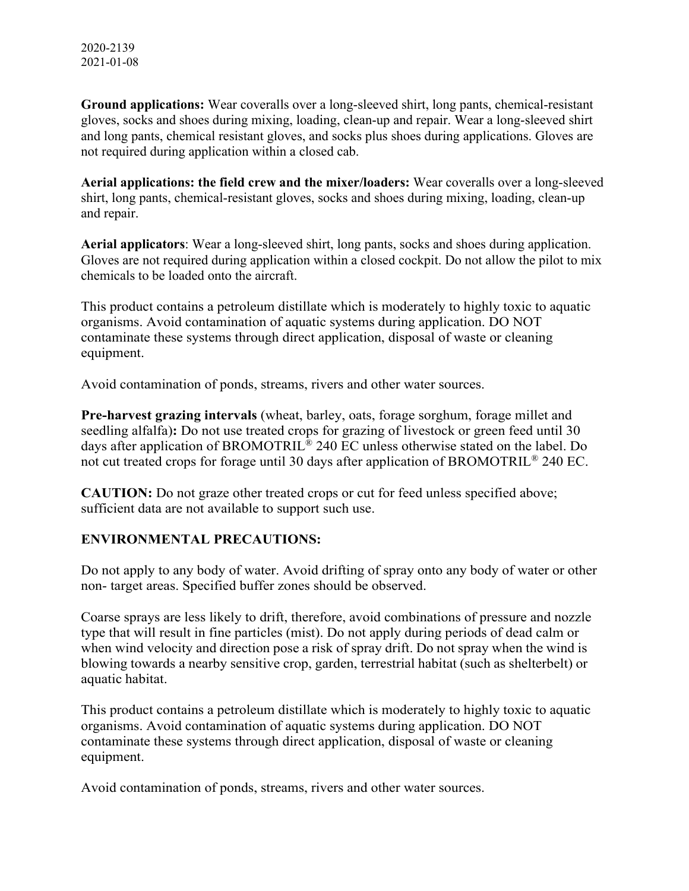**Ground applications:** Wear coveralls over a long-sleeved shirt, long pants, chemical-resistant gloves, socks and shoes during mixing, loading, clean-up and repair. Wear a long-sleeved shirt and long pants, chemical resistant gloves, and socks plus shoes during applications. Gloves are not required during application within a closed cab.

**Aerial applications: the field crew and the mixer/loaders:** Wear coveralls over a long-sleeved shirt, long pants, chemical-resistant gloves, socks and shoes during mixing, loading, clean-up and repair.

**Aerial applicators**: Wear a long-sleeved shirt, long pants, socks and shoes during application. Gloves are not required during application within a closed cockpit. Do not allow the pilot to mix chemicals to be loaded onto the aircraft.

This product contains a petroleum distillate which is moderately to highly toxic to aquatic organisms. Avoid contamination of aquatic systems during application. DO NOT contaminate these systems through direct application, disposal of waste or cleaning equipment.

Avoid contamination of ponds, streams, rivers and other water sources.

**Pre-harvest grazing intervals** (wheat, barley, oats, forage sorghum, forage millet and seedling alfalfa)**:** Do not use treated crops for grazing of livestock or green feed until 30 days after application of BROMOTRIL® 240 EC unless otherwise stated on the label. Do not cut treated crops for forage until 30 days after application of BROMOTRIL® 240 EC.

**CAUTION:** Do not graze other treated crops or cut for feed unless specified above; sufficient data are not available to support such use.

#### **ENVIRONMENTAL PRECAUTIONS:**

Do not apply to any body of water. Avoid drifting of spray onto any body of water or other non- target areas. Specified buffer zones should be observed.

Coarse sprays are less likely to drift, therefore, avoid combinations of pressure and nozzle type that will result in fine particles (mist). Do not apply during periods of dead calm or when wind velocity and direction pose a risk of spray drift. Do not spray when the wind is blowing towards a nearby sensitive crop, garden, terrestrial habitat (such as shelterbelt) or aquatic habitat.

This product contains a petroleum distillate which is moderately to highly toxic to aquatic organisms. Avoid contamination of aquatic systems during application. DO NOT contaminate these systems through direct application, disposal of waste or cleaning equipment.

Avoid contamination of ponds, streams, rivers and other water sources.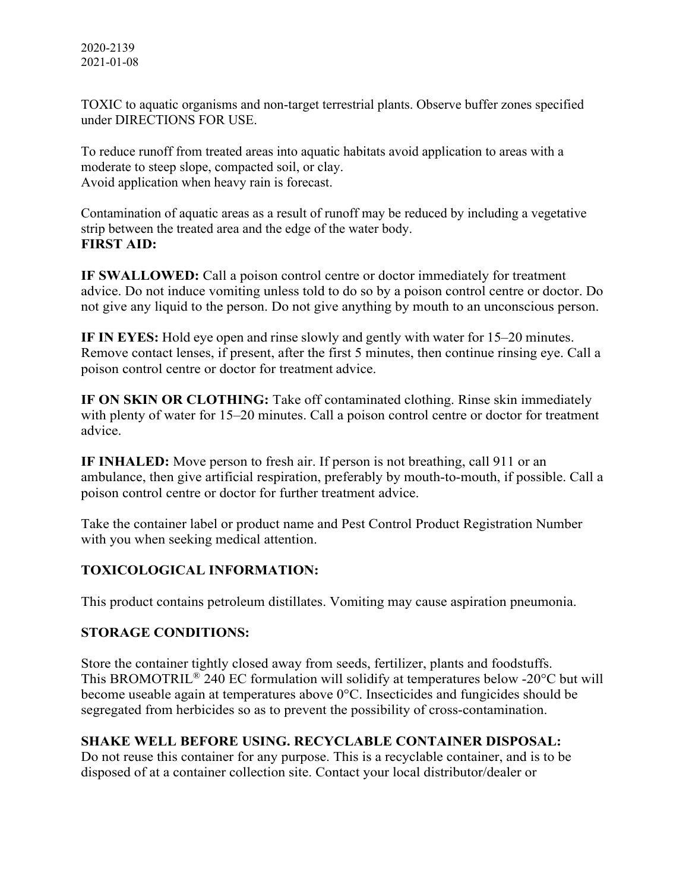TOXIC to aquatic organisms and non-target terrestrial plants. Observe buffer zones specified under DIRECTIONS FOR USE.

To reduce runoff from treated areas into aquatic habitats avoid application to areas with a moderate to steep slope, compacted soil, or clay. Avoid application when heavy rain is forecast.

Contamination of aquatic areas as a result of runoff may be reduced by including a vegetative strip between the treated area and the edge of the water body. **FIRST AID:**

**IF SWALLOWED:** Call a poison control centre or doctor immediately for treatment advice. Do not induce vomiting unless told to do so by a poison control centre or doctor. Do not give any liquid to the person. Do not give anything by mouth to an unconscious person.

**IF IN EYES:** Hold eye open and rinse slowly and gently with water for 15–20 minutes. Remove contact lenses, if present, after the first 5 minutes, then continue rinsing eye. Call a poison control centre or doctor for treatment advice.

**IF ON SKIN OR CLOTHING:** Take off contaminated clothing. Rinse skin immediately with plenty of water for 15–20 minutes. Call a poison control centre or doctor for treatment advice.

**IF INHALED:** Move person to fresh air. If person is not breathing, call 911 or an ambulance, then give artificial respiration, preferably by mouth-to-mouth, if possible. Call a poison control centre or doctor for further treatment advice.

Take the container label or product name and Pest Control Product Registration Number with you when seeking medical attention.

# **TOXICOLOGICAL INFORMATION:**

This product contains petroleum distillates. Vomiting may cause aspiration pneumonia.

# **STORAGE CONDITIONS:**

Store the container tightly closed away from seeds, fertilizer, plants and foodstuffs. This BROMOTRIL® 240 EC formulation will solidify at temperatures below -20°C but will become useable again at temperatures above 0°C. Insecticides and fungicides should be segregated from herbicides so as to prevent the possibility of cross-contamination.

# **SHAKE WELL BEFORE USING. RECYCLABLE CONTAINER DISPOSAL:**

Do not reuse this container for any purpose. This is a recyclable container, and is to be disposed of at a container collection site. Contact your local distributor/dealer or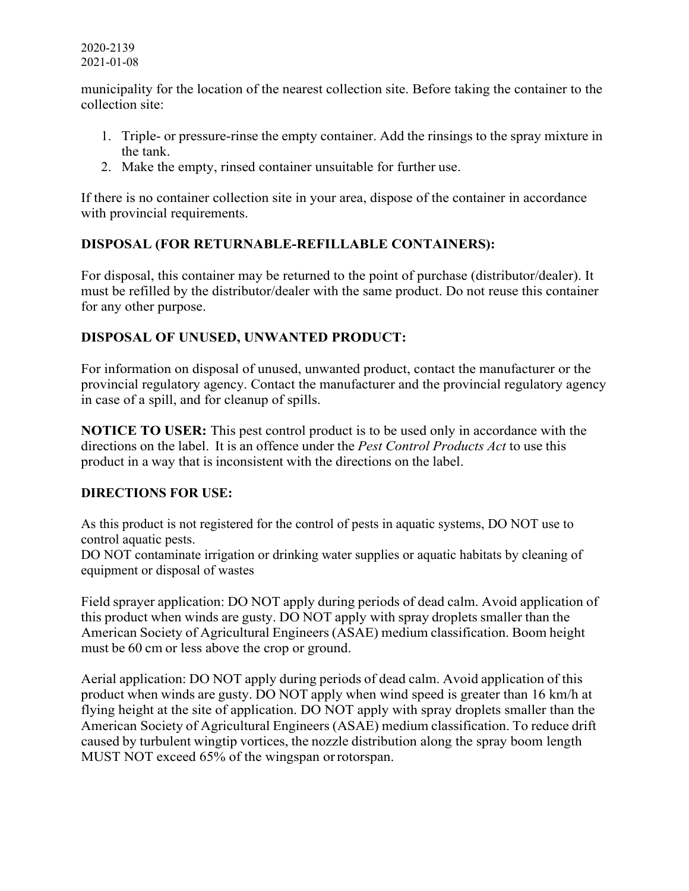#### 2020-2139 2021-01-08

municipality for the location of the nearest collection site. Before taking the container to the collection site:

- 1. Triple- or pressure-rinse the empty container. Add the rinsings to the spray mixture in the tank.
- 2. Make the empty, rinsed container unsuitable for further use.

If there is no container collection site in your area, dispose of the container in accordance with provincial requirements.

# **DISPOSAL (FOR RETURNABLE-REFILLABLE CONTAINERS):**

For disposal, this container may be returned to the point of purchase (distributor/dealer). It must be refilled by the distributor/dealer with the same product. Do not reuse this container for any other purpose.

# **DISPOSAL OF UNUSED, UNWANTED PRODUCT:**

For information on disposal of unused, unwanted product, contact the manufacturer or the provincial regulatory agency. Contact the manufacturer and the provincial regulatory agency in case of a spill, and for cleanup of spills.

**NOTICE TO USER:** This pest control product is to be used only in accordance with the directions on the label. It is an offence under the *Pest Control Products Act* to use this product in a way that is inconsistent with the directions on the label.

#### **DIRECTIONS FOR USE:**

As this product is not registered for the control of pests in aquatic systems, DO NOT use to control aquatic pests.

DO NOT contaminate irrigation or drinking water supplies or aquatic habitats by cleaning of equipment or disposal of wastes

Field sprayer application: DO NOT apply during periods of dead calm. Avoid application of this product when winds are gusty. DO NOT apply with spray droplets smaller than the American Society of Agricultural Engineers (ASAE) medium classification. Boom height must be 60 cm or less above the crop or ground.

Aerial application: DO NOT apply during periods of dead calm. Avoid application of this product when winds are gusty. DO NOT apply when wind speed is greater than 16 km/h at flying height at the site of application. DO NOT apply with spray droplets smaller than the American Society of Agricultural Engineers (ASAE) medium classification. To reduce drift caused by turbulent wingtip vortices, the nozzle distribution along the spray boom length MUST NOT exceed 65% of the wingspan orrotorspan.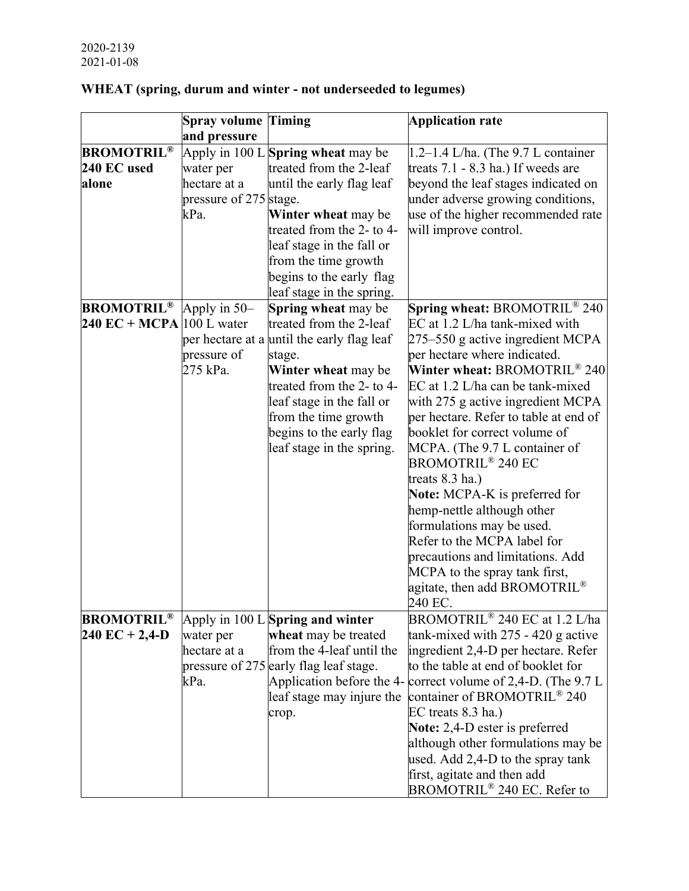|                                           | <b>Spray volume</b>    | <b>Timing</b>                               | <b>Application rate</b>                                         |
|-------------------------------------------|------------------------|---------------------------------------------|-----------------------------------------------------------------|
|                                           | and pressure           |                                             |                                                                 |
| <b>BROMOTRIL®</b>                         |                        | Apply in $100$ L <b>Spring wheat</b> may be | $1.2-1.4$ L/ha. (The 9.7 L container                            |
| 240 EC used                               | water per              | treated from the 2-leaf                     | treats $7.1 - 8.3$ ha.) If weeds are                            |
| alone                                     | hectare at a           | until the early flag leaf                   | beyond the leaf stages indicated on                             |
|                                           | pressure of 275 stage. |                                             | under adverse growing conditions,                               |
|                                           | kPa.                   | Winter wheat may be                         | use of the higher recommended rate                              |
|                                           |                        | treated from the 2- to 4-                   | will improve control.                                           |
|                                           |                        | leaf stage in the fall or                   |                                                                 |
|                                           |                        | from the time growth                        |                                                                 |
|                                           |                        | begins to the early flag                    |                                                                 |
|                                           |                        | leaf stage in the spring.                   |                                                                 |
| <b>BROMOTRIL<sup>®</sup></b> Apply in 50- |                        | <b>Spring wheat may be</b>                  | Spring wheat: BROMOTRIL <sup>®</sup> 240                        |
| 240 EC + MCPA $ 100 \text{ L water} $     |                        | treated from the 2-leaf                     | EC at 1.2 L/ha tank-mixed with                                  |
|                                           |                        | per hectare at a until the early flag leaf  | 275–550 g active ingredient MCPA                                |
|                                           | pressure of            | stage.                                      | per hectare where indicated.                                    |
|                                           | 275 kPa.               | Winter wheat may be                         | Winter wheat: BROMOTRIL <sup>®</sup> 240                        |
|                                           |                        | treated from the 2- to 4-                   | EC at 1.2 L/ha can be tank-mixed                                |
|                                           |                        | leaf stage in the fall or                   | with 275 g active ingredient MCPA                               |
|                                           |                        | from the time growth                        | per hectare. Refer to table at end of                           |
|                                           |                        | begins to the early flag                    | booklet for correct volume of                                   |
|                                           |                        | leaf stage in the spring.                   | MCPA. (The 9.7 L container of                                   |
|                                           |                        |                                             | <b>BROMOTRIL® 240 EC</b>                                        |
|                                           |                        |                                             | treats 8.3 ha.)                                                 |
|                                           |                        |                                             | Note: MCPA-K is preferred for                                   |
|                                           |                        |                                             | hemp-nettle although other                                      |
|                                           |                        |                                             | formulations may be used.                                       |
|                                           |                        |                                             | Refer to the MCPA label for                                     |
|                                           |                        |                                             | precautions and limitations. Add                                |
|                                           |                        |                                             | MCPA to the spray tank first,                                   |
|                                           |                        |                                             | agitate, then add BROMOTRIL <sup>®</sup>                        |
|                                           |                        |                                             | 240 EC.                                                         |
| <b>BROMOTRIL®</b>                         |                        | Apply in 100 L Spring and winter            | BROMOTRIL <sup>®</sup> 240 EC at 1.2 L/ha                       |
| $240$ EC + 2,4-D                          | water per              | wheat may be treated                        | tank-mixed with $275 - 420$ g active                            |
|                                           | hectare at a           | from the 4-leaf until the                   | ingredient 2,4-D per hectare. Refer                             |
|                                           |                        | pressure of 275 early flag leaf stage.      | to the table at end of booklet for                              |
|                                           | kPa.                   |                                             | Application before the 4- correct volume of 2,4-D. (The $9.7 L$ |
|                                           |                        | leaf stage may injure the                   | container of BROMOTRIL <sup>®</sup> 240                         |
|                                           |                        | crop.                                       | EC treats 8.3 ha.)                                              |
|                                           |                        |                                             | Note: 2,4-D ester is preferred                                  |
|                                           |                        |                                             | although other formulations may be                              |
|                                           |                        |                                             | used. Add 2,4-D to the spray tank                               |
|                                           |                        |                                             | first, agitate and then add                                     |
|                                           |                        |                                             | BROMOTRIL <sup>®</sup> 240 EC. Refer to                         |

# **WHEAT (spring, durum and winter - not underseeded to legumes)**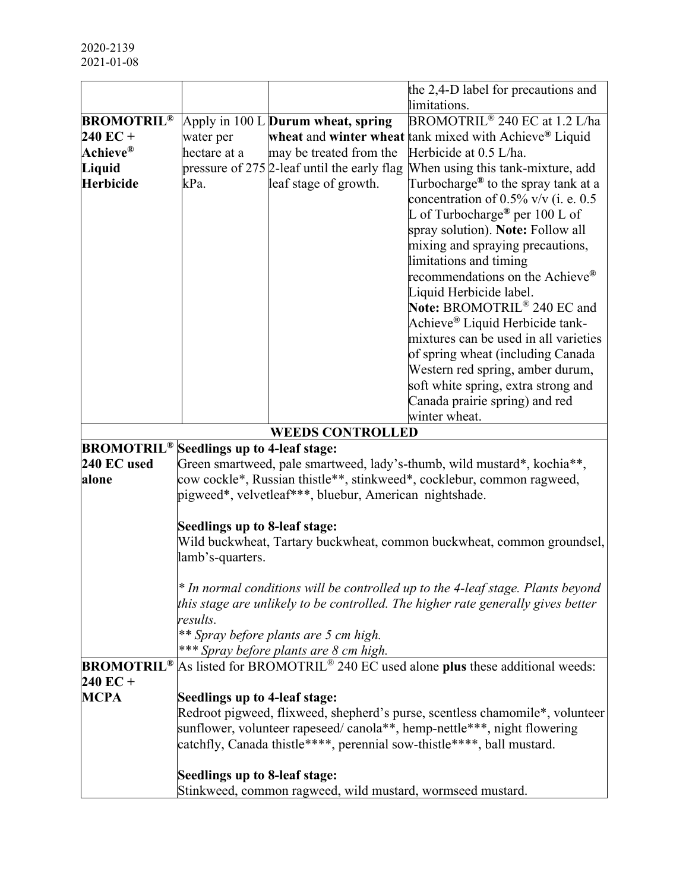|                    |                               |                                                            | the 2,4-D label for precautions and                                                 |
|--------------------|-------------------------------|------------------------------------------------------------|-------------------------------------------------------------------------------------|
|                    |                               |                                                            | limitations.                                                                        |
| <b>BROMOTRIL®</b>  |                               | Apply in 100 L <b>Durum wheat, spring</b>                  | BROMOTRIL <sup>®</sup> 240 EC at 1.2 L/ha                                           |
| $240 \text{ EC} +$ | water per                     |                                                            | wheat and winter wheat tank mixed with Achieve <sup>®</sup> Liquid                  |
| Achieve®           | hectare at a                  | may be treated from the                                    | Herbicide at 0.5 L/ha.                                                              |
| Liquid             |                               | pressure of $275$ 2-leaf until the early flag              | When using this tank-mixture, add                                                   |
| <b>Herbicide</b>   | kPa.                          | leaf stage of growth.                                      | Turbocharge <sup>®</sup> to the spray tank at a                                     |
|                    |                               |                                                            | concentration of $0.5\%$ v/v (i. e. 0.5                                             |
|                    |                               |                                                            | L of Turbocharge <sup>®</sup> per $100$ L of                                        |
|                    |                               |                                                            | spray solution). Note: Follow all                                                   |
|                    |                               |                                                            | mixing and spraying precautions,                                                    |
|                    |                               |                                                            | limitations and timing                                                              |
|                    |                               |                                                            | recommendations on the Achieve®                                                     |
|                    |                               |                                                            | Liquid Herbicide label.                                                             |
|                    |                               |                                                            | Note: BROMOTRIL <sup>®</sup> 240 EC and                                             |
|                    |                               |                                                            | Achieve® Liquid Herbicide tank-                                                     |
|                    |                               |                                                            | mixtures can be used in all varieties                                               |
|                    |                               |                                                            | of spring wheat (including Canada                                                   |
|                    |                               |                                                            | Western red spring, amber durum,                                                    |
|                    |                               |                                                            | soft white spring, extra strong and                                                 |
|                    |                               |                                                            | Canada prairie spring) and red                                                      |
|                    |                               |                                                            | winter wheat.                                                                       |
|                    |                               | <b>WEEDS CONTROLLED</b>                                    |                                                                                     |
| <b>BROMOTRIL®</b>  | Seedlings up to 4-leaf stage: |                                                            |                                                                                     |
| 240 EC used        |                               |                                                            | Green smartweed, pale smartweed, lady's-thumb, wild mustard*, kochia**,             |
| alone              |                               |                                                            | cow cockle*, Russian thistle**, stinkweed*, cocklebur, common ragweed,              |
|                    |                               | pigweed*, velvetleaf***, bluebur, American nightshade.     |                                                                                     |
|                    | Seedlings up to 8-leaf stage: |                                                            |                                                                                     |
|                    |                               |                                                            | Wild buckwheat, Tartary buckwheat, common buckwheat, common groundsel,              |
|                    | lamb's-quarters.              |                                                            |                                                                                     |
|                    |                               |                                                            |                                                                                     |
|                    |                               |                                                            | * In normal conditions will be controlled up to the 4-leaf stage. Plants beyond     |
|                    |                               |                                                            | this stage are unlikely to be controlled. The higher rate generally gives better    |
|                    | results.                      |                                                            |                                                                                     |
|                    |                               | ** Spray before plants are 5 cm high.                      |                                                                                     |
|                    |                               | *** Spray before plants are 8 cm high.                     |                                                                                     |
| <b>BROMOTRIL®</b>  |                               |                                                            | As listed for BROMOTRIL <sup>®</sup> 240 EC used alone plus these additional weeds: |
| $240 \text{ EC} +$ |                               |                                                            |                                                                                     |
| <b>MCPA</b>        | Seedlings up to 4-leaf stage: |                                                            |                                                                                     |
|                    |                               |                                                            | Redroot pigweed, flixweed, shepherd's purse, scentless chamomile*, volunteer        |
|                    |                               |                                                            | sunflower, volunteer rapeseed/canola**, hemp-nettle***, night flowering             |
|                    |                               |                                                            | catchfly, Canada thistle****, perennial sow-thistle****, ball mustard.              |
|                    |                               |                                                            |                                                                                     |
|                    | Seedlings up to 8-leaf stage: |                                                            |                                                                                     |
|                    |                               | Stinkweed, common ragweed, wild mustard, wormseed mustard. |                                                                                     |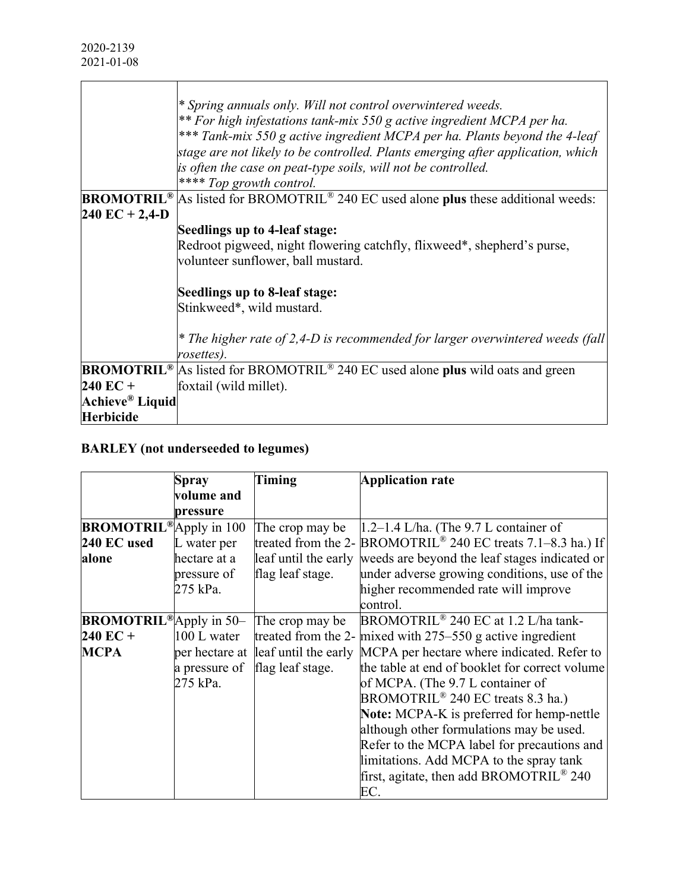|                   | * Spring annuals only. Will not control overwintered weeds.<br>** For high infestations tank-mix 550 g active ingredient MCPA per ha.<br>*** Tank-mix 550 g active ingredient MCPA per ha. Plants beyond the 4-leaf<br>stage are not likely to be controlled. Plants emerging after application, which<br>is often the case on peat-type soils, will not be controlled.<br>**** Top growth control. |
|-------------------|-----------------------------------------------------------------------------------------------------------------------------------------------------------------------------------------------------------------------------------------------------------------------------------------------------------------------------------------------------------------------------------------------------|
| <b>BROMOTRIL®</b> | As listed for BROMOTRIL <sup>®</sup> 240 EC used alone plus these additional weeds:                                                                                                                                                                                                                                                                                                                 |
| $240$ EC + 2,4-D  |                                                                                                                                                                                                                                                                                                                                                                                                     |
|                   | Seedlings up to 4-leaf stage:                                                                                                                                                                                                                                                                                                                                                                       |
|                   | Redroot pigweed, night flowering catchfly, flixweed*, shepherd's purse,                                                                                                                                                                                                                                                                                                                             |
|                   | volunteer sunflower, ball mustard.                                                                                                                                                                                                                                                                                                                                                                  |
|                   | Seedlings up to 8-leaf stage:<br>Stinkweed*, wild mustard.                                                                                                                                                                                                                                                                                                                                          |
|                   |                                                                                                                                                                                                                                                                                                                                                                                                     |
|                   | * The higher rate of 2,4-D is recommended for larger overwintered weeds (fall)<br>rosettes).                                                                                                                                                                                                                                                                                                        |
| <b>BROMOTRIL®</b> | As listed for BROMOTRIL <sup>®</sup> 240 EC used alone plus wild oats and green                                                                                                                                                                                                                                                                                                                     |
| $240$ EC +        | foxtail (wild millet).                                                                                                                                                                                                                                                                                                                                                                              |
| Achieve® Liquid   |                                                                                                                                                                                                                                                                                                                                                                                                     |
| <b>Herbicide</b>  |                                                                                                                                                                                                                                                                                                                                                                                                     |
|                   |                                                                                                                                                                                                                                                                                                                                                                                                     |

# **BARLEY (not underseeded to legumes)**

|                                | Spray          | Timing           | <b>Application rate</b>                                                               |
|--------------------------------|----------------|------------------|---------------------------------------------------------------------------------------|
|                                | volume and     |                  |                                                                                       |
|                                | pressure       |                  |                                                                                       |
| <b>BROMOTRIL®</b> Apply in 100 |                | The crop may be  | $1.2-1.4$ L/ha. (The 9.7 L container of                                               |
| 240 EC used                    | L water per    |                  | treated from the 2- $\overline{BROMOTRIL}$ <sup>®</sup> 240 EC treats 7.1–8.3 ha.) If |
| alone                          | hectare at a   |                  | leaf until the early weeds are beyond the leaf stages indicated or                    |
|                                | pressure of    | flag leaf stage. | under adverse growing conditions, use of the                                          |
|                                | 275 kPa.       |                  | higher recommended rate will improve                                                  |
|                                |                |                  | control.                                                                              |
| <b>BROMOTRIL®</b> Apply in 50- |                | The crop may be  | BROMOTRIL <sup>®</sup> 240 EC at 1.2 L/ha tank-                                       |
| $240$ EC +                     | 100 L water    |                  | treated from the 2- mixed with $275-550$ g active ingredient                          |
| <b>MCPA</b>                    | per hectare at |                  | leaf until the early MCPA per hectare where indicated. Refer to                       |
|                                | a pressure of  | flag leaf stage. | the table at end of booklet for correct volume                                        |
|                                | 275 kPa.       |                  | of MCPA. (The 9.7 L container of                                                      |
|                                |                |                  | BROMOTRIL <sup>®</sup> 240 EC treats 8.3 ha.)                                         |
|                                |                |                  | <b>Note:</b> MCPA-K is preferred for hemp-nettle                                      |
|                                |                |                  | although other formulations may be used.                                              |
|                                |                |                  | Refer to the MCPA label for precautions and                                           |
|                                |                |                  | limitations. Add MCPA to the spray tank                                               |
|                                |                |                  | first, agitate, then add BROMOTRIL® 240                                               |
|                                |                |                  | EC.                                                                                   |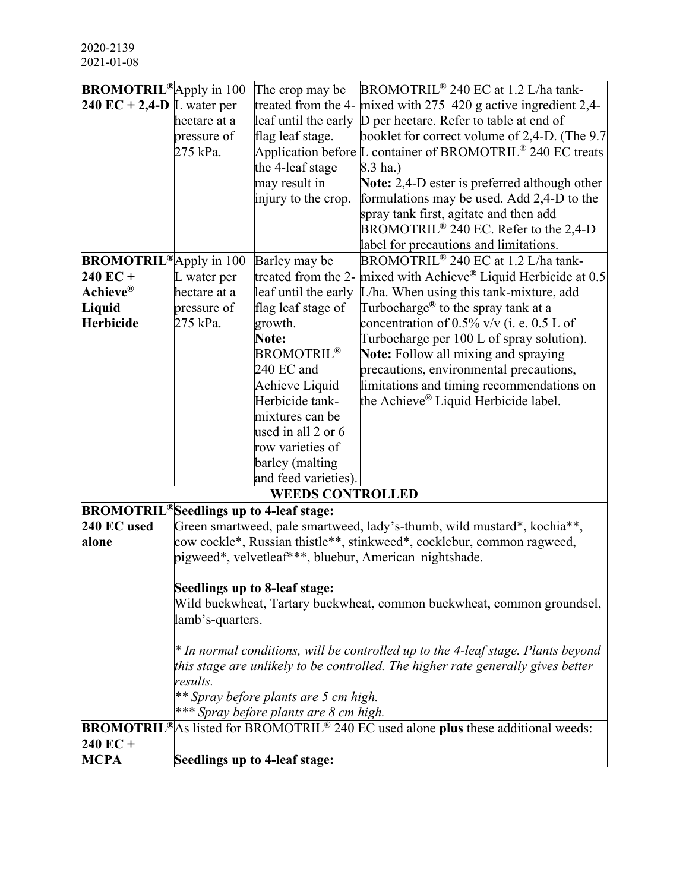| <b>BROMOTRIL®</b> Apply in 100                       |                         | The crop may be                        | BROMOTRIL <sup>®</sup> 240 EC at 1.2 L/ha tank-                                                                   |
|------------------------------------------------------|-------------------------|----------------------------------------|-------------------------------------------------------------------------------------------------------------------|
| 240 EC + 2,4-D L water per                           |                         |                                        | treated from the 4- $mixed$ with 275–420 g active ingredient 2,4-                                                 |
|                                                      | hectare at a            | leaf until the early                   | D per hectare. Refer to table at end of                                                                           |
|                                                      | pressure of             | flag leaf stage.                       | booklet for correct volume of 2,4-D. (The 9.7                                                                     |
|                                                      | 275 kPa.                |                                        | Application before L container of BROMOTRIL® 240 EC treats                                                        |
|                                                      |                         | the 4-leaf stage                       | 8.3 ha.)                                                                                                          |
|                                                      |                         | may result in                          | Note: 2,4-D ester is preferred although other                                                                     |
|                                                      |                         | injury to the crop.                    | formulations may be used. Add 2,4-D to the                                                                        |
|                                                      |                         |                                        | spray tank first, agitate and then add                                                                            |
|                                                      |                         |                                        | BROMOTRIL <sup>®</sup> 240 EC. Refer to the 2,4-D                                                                 |
|                                                      |                         |                                        | label for precautions and limitations.                                                                            |
| <b>BROMOTRIL®</b> Apply in 100                       |                         | Barley may be                          | BROMOTRIL <sup>®</sup> 240 EC at 1.2 L/ha tank-                                                                   |
| 240 EC +                                             | L water per             | treated from the 2-                    | mixed with Achieve® Liquid Herbicide at 0.5                                                                       |
| Achieve $^\circledR$                                 | hectare at a            | leaf until the early                   | L/ha. When using this tank-mixture, add                                                                           |
| Liquid<br>Herbicide                                  | pressure of<br>275 kPa. | flag leaf stage of<br>growth.          | Turbocharge <sup>®</sup> to the spray tank at a<br>concentration of $0.5\%$ v/v (i. e. $0.5$ L of                 |
|                                                      |                         | Note:                                  | Turbocharge per 100 L of spray solution).                                                                         |
|                                                      |                         | <b>BROMOTRIL®</b>                      | Note: Follow all mixing and spraying                                                                              |
|                                                      |                         | 240 EC and                             | precautions, environmental precautions,                                                                           |
|                                                      |                         | Achieve Liquid                         | limitations and timing recommendations on                                                                         |
|                                                      |                         | Herbicide tank-                        | the Achieve® Liquid Herbicide label.                                                                              |
|                                                      |                         | mixtures can be                        |                                                                                                                   |
|                                                      |                         | used in all 2 or 6                     |                                                                                                                   |
|                                                      |                         | row varieties of                       |                                                                                                                   |
|                                                      |                         | barley (malting                        |                                                                                                                   |
|                                                      |                         | and feed varieties).                   |                                                                                                                   |
|                                                      |                         | <b>WEEDS CONTROLLED</b>                |                                                                                                                   |
| BROMOTRIL <sup>®</sup> Seedlings up to 4-leaf stage: |                         |                                        |                                                                                                                   |
| 240 EC used                                          |                         |                                        | Green smartweed, pale smartweed, lady's-thumb, wild mustard*, kochia**,                                           |
| alone                                                |                         |                                        | cow cockle*, Russian thistle**, stinkweed*, cocklebur, common ragweed,                                            |
|                                                      |                         |                                        | pigweed*, velvetleaf***, bluebur, American nightshade.                                                            |
|                                                      |                         |                                        |                                                                                                                   |
|                                                      |                         | Seedlings up to 8-leaf stage:          |                                                                                                                   |
|                                                      |                         |                                        | Wild buckwheat, Tartary buckwheat, common buckwheat, common groundsel,                                            |
|                                                      | lamb's-quarters.        |                                        |                                                                                                                   |
|                                                      |                         |                                        | * In normal conditions, will be controlled up to the 4-leaf stage. Plants beyond                                  |
|                                                      |                         |                                        | this stage are unlikely to be controlled. The higher rate generally gives better                                  |
|                                                      | results.                |                                        |                                                                                                                   |
|                                                      |                         | ** Spray before plants are 5 cm high.  |                                                                                                                   |
|                                                      |                         | *** Spray before plants are 8 cm high. |                                                                                                                   |
|                                                      |                         |                                        | <b>BROMOTRIL</b> <sup>®</sup> As listed for BROMOTRIL <sup>®</sup> 240 EC used alone plus these additional weeds: |
| 240 EC +                                             |                         |                                        |                                                                                                                   |
| <b>MCPA</b>                                          |                         | Seedlings up to 4-leaf stage:          |                                                                                                                   |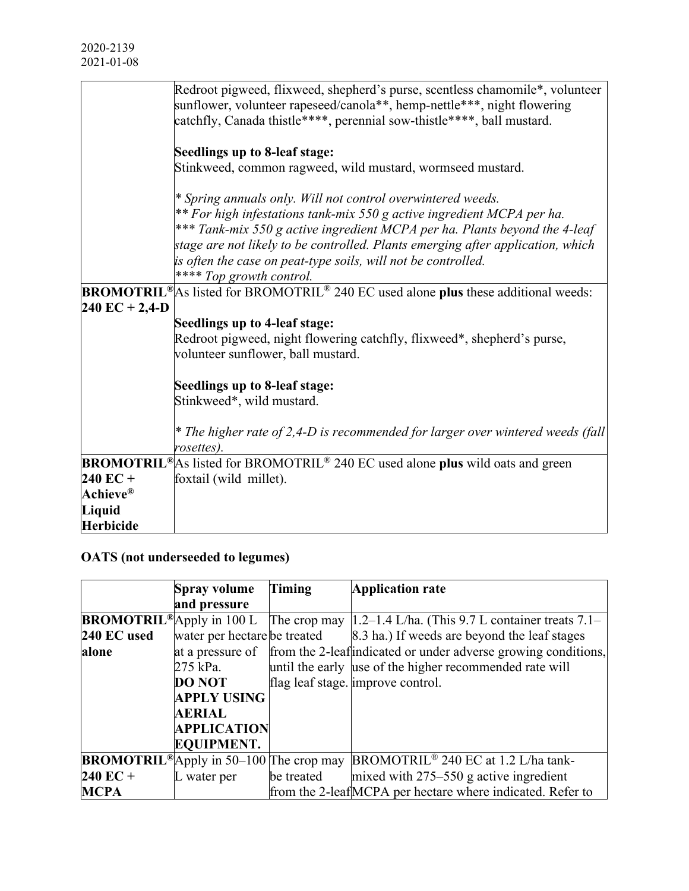|                      | Redroot pigweed, flixweed, shepherd's purse, scentless chamomile*, volunteer                                      |
|----------------------|-------------------------------------------------------------------------------------------------------------------|
|                      | sunflower, volunteer rapeseed/canola**, hemp-nettle***, night flowering                                           |
|                      | catchfly, Canada thistle****, perennial sow-thistle****, ball mustard.                                            |
|                      | Seedlings up to 8-leaf stage:                                                                                     |
|                      |                                                                                                                   |
|                      | Stinkweed, common ragweed, wild mustard, wormseed mustard.                                                        |
|                      | * Spring annuals only. Will not control overwintered weeds.                                                       |
|                      | ** For high infestations tank-mix 550 g active ingredient MCPA per ha.                                            |
|                      | *** Tank-mix 550 g active ingredient MCPA per ha. Plants beyond the 4-leaf                                        |
|                      | stage are not likely to be controlled. Plants emerging after application, which                                   |
|                      | is often the case on peat-type soils, will not be controlled.                                                     |
|                      | **** Top growth control.                                                                                          |
|                      | <b>BROMOTRIL</b> <sup>®</sup> As listed for BROMOTRIL <sup>®</sup> 240 EC used alone plus these additional weeds: |
| $240$ EC + 2,4-D     |                                                                                                                   |
|                      | Seedlings up to 4-leaf stage:                                                                                     |
|                      | Redroot pigweed, night flowering catchfly, flixweed*, shepherd's purse,                                           |
|                      | volunteer sunflower, ball mustard.                                                                                |
|                      |                                                                                                                   |
|                      | Seedlings up to 8-leaf stage:                                                                                     |
|                      | Stinkweed*, wild mustard.                                                                                         |
|                      | * The higher rate of 2,4-D is recommended for larger over wintered weeds (fall                                    |
|                      | rosettes).                                                                                                        |
| <b>BROMOTRIL®</b>    | As listed for BROMOTRIL <sup>®</sup> 240 EC used alone plus wild oats and green                                   |
| $240$ EC +           | foxtail (wild millet).                                                                                            |
| Achieve $^\circledR$ |                                                                                                                   |
| Liquid               |                                                                                                                   |
| <b>Herbicide</b>     |                                                                                                                   |
|                      |                                                                                                                   |

# **OATS (not underseeded to legumes)**

|                    | <b>Spray volume</b>                                        | <b>Timing</b> | <b>Application rate</b>                                                                                               |
|--------------------|------------------------------------------------------------|---------------|-----------------------------------------------------------------------------------------------------------------------|
|                    | and pressure                                               |               |                                                                                                                       |
|                    |                                                            |               | <b>BROMOTRIL</b> <sup>®</sup> Apply in 100 L The crop may $ 1.2-1.4 \text{ L/ha}$ . (This 9.7 L container treats 7.1– |
| 240 EC used        | water per hectare be treated                               |               | 8.3 ha.) If weeds are beyond the leaf stages                                                                          |
| alone              |                                                            |               | at a pressure of from the 2-leaf indicated or under adverse growing conditions,                                       |
|                    | 275 kPa.                                                   |               | until the early use of the higher recommended rate will                                                               |
|                    | <b>DO NOT</b>                                              |               | flag leaf stage. improve control.                                                                                     |
|                    | <b>APPLY USING</b>                                         |               |                                                                                                                       |
|                    | <b>AERIAL</b>                                              |               |                                                                                                                       |
|                    | <b>APPLICATION</b>                                         |               |                                                                                                                       |
|                    | <b>EQUIPMENT.</b>                                          |               |                                                                                                                       |
|                    | <b>BROMOTRIL</b> <sup>®</sup> Apply in 50–100 The crop may |               | BROMOTRIL <sup>®</sup> 240 EC at 1.2 L/ha tank-                                                                       |
| $240 \text{ EC} +$ | L water per                                                | be treated    | mixed with $275-550$ g active ingredient                                                                              |
| <b>MCPA</b>        |                                                            |               | from the 2-leaf MCPA per hectare where indicated. Refer to                                                            |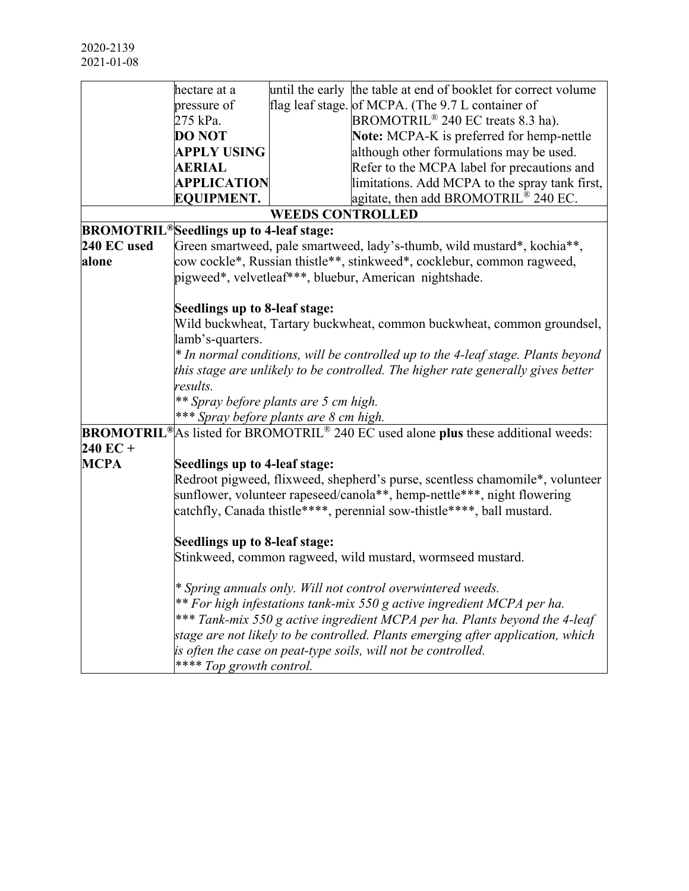|                    | hectare at a                                         |                         | until the early the table at end of booklet for correct volume                                                    |
|--------------------|------------------------------------------------------|-------------------------|-------------------------------------------------------------------------------------------------------------------|
|                    | pressure of                                          |                         | flag leaf stage. of MCPA. (The 9.7 L container of                                                                 |
|                    | 275 kPa.                                             |                         | BROMOTRIL <sup>®</sup> 240 EC treats 8.3 ha).                                                                     |
|                    | <b>DO NOT</b>                                        |                         | Note: MCPA-K is preferred for hemp-nettle                                                                         |
|                    | <b>APPLY USING</b>                                   |                         | although other formulations may be used.                                                                          |
|                    | <b>AERIAL</b>                                        |                         | Refer to the MCPA label for precautions and                                                                       |
|                    | <b>APPLICATION</b>                                   |                         | limitations. Add MCPA to the spray tank first,                                                                    |
|                    | <b>EQUIPMENT.</b>                                    |                         | agitate, then add BROMOTRIL® 240 EC.                                                                              |
|                    |                                                      | <b>WEEDS CONTROLLED</b> |                                                                                                                   |
|                    | BROMOTRIL <sup>®</sup> Seedlings up to 4-leaf stage: |                         |                                                                                                                   |
| 240 EC used        |                                                      |                         | Green smartweed, pale smartweed, lady's-thumb, wild mustard*, kochia**,                                           |
| alone              |                                                      |                         | cow cockle*, Russian thistle**, stinkweed*, cocklebur, common ragweed,                                            |
|                    |                                                      |                         | pigweed*, velvetleaf***, bluebur, American nightshade.                                                            |
|                    |                                                      |                         |                                                                                                                   |
|                    | Seedlings up to 8-leaf stage:                        |                         |                                                                                                                   |
|                    |                                                      |                         | Wild buckwheat, Tartary buckwheat, common buckwheat, common groundsel,                                            |
|                    | lamb's-quarters.                                     |                         |                                                                                                                   |
|                    |                                                      |                         | * In normal conditions, will be controlled up to the 4-leaf stage. Plants beyond                                  |
|                    |                                                      |                         | this stage are unlikely to be controlled. The higher rate generally gives better                                  |
|                    | results.                                             |                         |                                                                                                                   |
|                    | ** Spray before plants are 5 cm high.                |                         |                                                                                                                   |
|                    | *** Spray before plants are 8 cm high.               |                         |                                                                                                                   |
|                    |                                                      |                         | <b>BROMOTRIL</b> <sup>®</sup> As listed for BROMOTRIL <sup>®</sup> 240 EC used alone plus these additional weeds: |
| $240 \text{ EC} +$ |                                                      |                         |                                                                                                                   |
| <b>MCPA</b>        | Seedlings up to 4-leaf stage:                        |                         |                                                                                                                   |
|                    |                                                      |                         | Redroot pigweed, flixweed, shepherd's purse, scentless chamomile*, volunteer                                      |
|                    |                                                      |                         | sunflower, volunteer rapeseed/canola**, hemp-nettle***, night flowering                                           |
|                    |                                                      |                         | catchfly, Canada thistle****, perennial sow-thistle****, ball mustard.                                            |
|                    |                                                      |                         |                                                                                                                   |
|                    | Seedlings up to 8-leaf stage:                        |                         |                                                                                                                   |
|                    |                                                      |                         | Stinkweed, common ragweed, wild mustard, wormseed mustard.                                                        |
|                    |                                                      |                         | * Spring annuals only. Will not control overwintered weeds.                                                       |
|                    |                                                      |                         | ** For high infestations tank-mix 550 g active ingredient MCPA per ha.                                            |
|                    |                                                      |                         | *** Tank-mix 550 g active ingredient MCPA per ha. Plants beyond the 4-leaf                                        |
|                    |                                                      |                         | stage are not likely to be controlled. Plants emerging after application, which                                   |
|                    |                                                      |                         | is often the case on peat-type soils, will not be controlled.                                                     |
|                    | **** Top growth control.                             |                         |                                                                                                                   |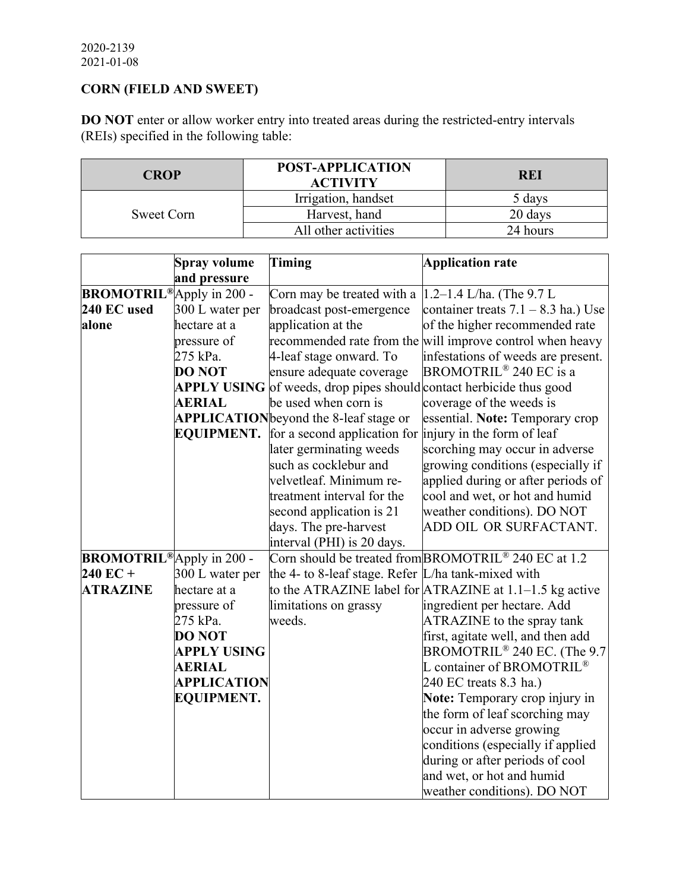# **CORN (FIELD AND SWEET)**

**DO NOT** enter or allow worker entry into treated areas during the restricted-entry intervals (REIs) specified in the following table:

| <b>CROP</b> | POST-APPLICATION<br><b>ACTIVITY</b> | REI      |
|-------------|-------------------------------------|----------|
|             | Irrigation, handset                 | 5 days   |
| Sweet Corn  | Harvest, hand                       | 20 days  |
|             | All other activities                | 24 hours |

|                                  | <b>Spray volume</b> | <b>Timing</b>                                                         | <b>Application rate</b>                                          |
|----------------------------------|---------------------|-----------------------------------------------------------------------|------------------------------------------------------------------|
|                                  | and pressure        |                                                                       |                                                                  |
| <b>BROMOTRIL®</b> Apply in 200 - |                     | Corn may be treated with a                                            | $1.2 - 1.4$ L/ha. (The 9.7 L                                     |
| 240 EC used                      | 300 L water per     | broadcast post-emergence                                              | container treats $7.1 - 8.3$ ha.) Use                            |
| alone                            | hectare at a        | application at the                                                    | of the higher recommended rate                                   |
|                                  | pressure of         |                                                                       | recommended rate from the will improve control when heavy        |
|                                  | 275 kPa.            | 4-leaf stage onward. To                                               | infestations of weeds are present.                               |
|                                  | <b>DO NOT</b>       | ensure adequate coverage                                              | BROMOTRIL <sup>®</sup> 240 EC is a                               |
|                                  |                     | $APPLY$ USING of weeds, drop pipes should contact herbicide thus good |                                                                  |
|                                  | <b>AERIAL</b>       | be used when corn is                                                  | coverage of the weeds is                                         |
|                                  |                     | <b>APPLICATION</b> beyond the 8-leaf stage or                         | essential. Note: Temporary crop                                  |
|                                  | <b>EQUIPMENT.</b>   | for a second application for                                          | injury in the form of leaf                                       |
|                                  |                     | later germinating weeds                                               | scorching may occur in adverse                                   |
|                                  |                     | such as cocklebur and                                                 | growing conditions (especially if                                |
|                                  |                     | velvetleaf. Minimum re-                                               | applied during or after periods of                               |
|                                  |                     | treatment interval for the                                            | cool and wet, or hot and humid                                   |
|                                  |                     | second application is 21                                              | weather conditions). DO NOT                                      |
|                                  |                     | days. The pre-harvest                                                 | ADD OIL OR SURFACTANT.                                           |
|                                  |                     | interval (PHI) is 20 days.                                            |                                                                  |
| <b>BROMOTRIL®</b> Apply in 200 - |                     |                                                                       | Corn should be treated from BROMOTRIL <sup>®</sup> 240 EC at 1.2 |
| $240$ EC +                       | 300 L water per     | the 4- to 8-leaf stage. Refer L/ha tank-mixed with                    |                                                                  |
| <b>ATRAZINE</b>                  | hectare at a        |                                                                       | to the ATRAZINE label for $ATRAZINE$ at 1.1–1.5 kg active        |
|                                  | pressure of         | limitations on grassy                                                 | ingredient per hectare. Add                                      |
|                                  | 275 kPa.            | weeds.                                                                | ATRAZINE to the spray tank                                       |
|                                  | <b>DO NOT</b>       |                                                                       | first, agitate well, and then add                                |
|                                  | <b>APPLY USING</b>  |                                                                       | BROMOTRIL <sup>®</sup> 240 EC. (The 9.7                          |
|                                  | <b>AERIAL</b>       |                                                                       | L container of BROMOTRIL <sup>®</sup>                            |
|                                  | <b>APPLICATION</b>  |                                                                       | 240 EC treats 8.3 ha.)                                           |
|                                  | <b>EQUIPMENT.</b>   |                                                                       | Note: Temporary crop injury in                                   |
|                                  |                     |                                                                       | the form of leaf scorching may                                   |
|                                  |                     |                                                                       | occur in adverse growing                                         |
|                                  |                     |                                                                       | conditions (especially if applied                                |
|                                  |                     |                                                                       | during or after periods of cool                                  |
|                                  |                     |                                                                       | and wet, or hot and humid                                        |
|                                  |                     |                                                                       | weather conditions). DO NOT                                      |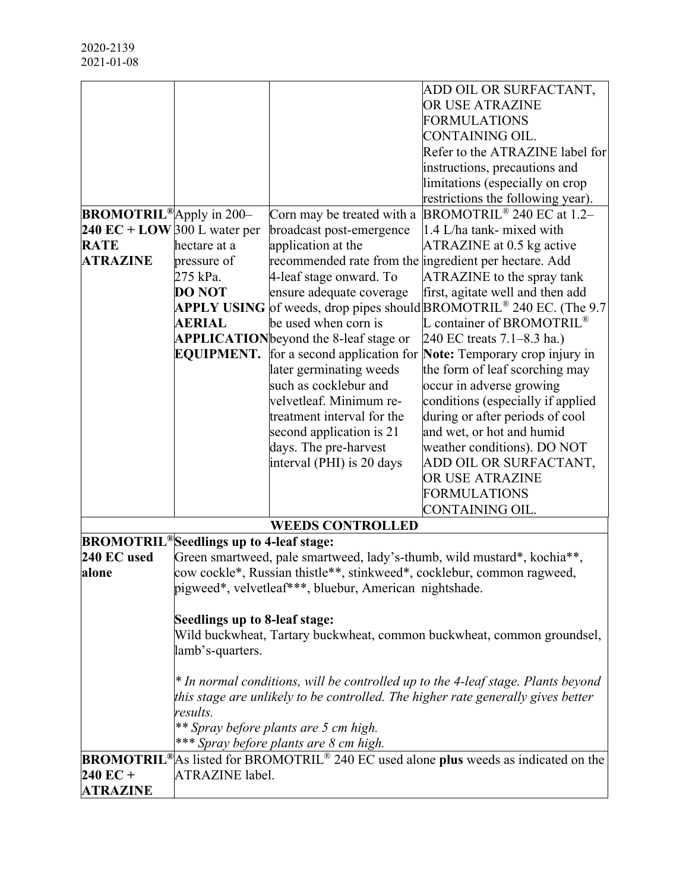|                                 |                                         |                                                        | ADD OIL OR SURFACTANT,                                                                                              |
|---------------------------------|-----------------------------------------|--------------------------------------------------------|---------------------------------------------------------------------------------------------------------------------|
|                                 |                                         |                                                        | OR USE ATRAZINE                                                                                                     |
|                                 |                                         |                                                        | <b>FORMULATIONS</b>                                                                                                 |
|                                 |                                         |                                                        | CONTAINING OIL.                                                                                                     |
|                                 |                                         |                                                        | Refer to the ATRAZINE label for                                                                                     |
|                                 |                                         |                                                        | instructions, precautions and                                                                                       |
|                                 |                                         |                                                        | limitations (especially on crop                                                                                     |
|                                 |                                         |                                                        | restrictions the following year).                                                                                   |
| <b>BROMOTRIL®</b> Apply in 200- |                                         | Corn may be treated with a                             | BROMOTRIL <sup>®</sup> 240 EC at 1.2-                                                                               |
| 240 EC + LOW 300 L water per    |                                         | broadcast post-emergence                               | 1.4 L/ha tank- mixed with                                                                                           |
| <b>RATE</b>                     | hectare at a                            | application at the                                     | ATRAZINE at 0.5 kg active                                                                                           |
| <b>ATRAZINE</b>                 | pressure of                             | recommended rate from the ingredient per hectare. Add  |                                                                                                                     |
|                                 | 275 kPa.                                | 4-leaf stage onward. To                                | ATRAZINE to the spray tank                                                                                          |
|                                 | <b>DO NOT</b>                           | ensure adequate coverage                               | first, agitate well and then add                                                                                    |
|                                 |                                         |                                                        | <b>APPLY USING</b> of weeds, drop pipes should BROMOTRIL <sup>®</sup> 240 EC. (The 9.7                              |
|                                 | <b>AERIAL</b>                           | be used when corn is                                   | L container of BROMOTRIL <sup>®</sup>                                                                               |
|                                 |                                         | APPLICATION beyond the 8-leaf stage or                 | 240 EC treats 7.1–8.3 ha.)                                                                                          |
|                                 | <b>EQUIPMENT.</b>                       |                                                        | for a second application for <b>Note:</b> Temporary crop injury in                                                  |
|                                 |                                         | later germinating weeds                                | the form of leaf scorching may                                                                                      |
|                                 |                                         | such as cocklebur and                                  | occur in adverse growing                                                                                            |
|                                 |                                         | velvetleaf. Minimum re-                                | conditions (especially if applied                                                                                   |
|                                 |                                         | treatment interval for the                             | during or after periods of cool                                                                                     |
|                                 |                                         | second application is 21                               | and wet, or hot and humid                                                                                           |
|                                 |                                         |                                                        |                                                                                                                     |
|                                 |                                         | days. The pre-harvest                                  | weather conditions). DO NOT                                                                                         |
|                                 |                                         | interval (PHI) is 20 days                              | ADD OIL OR SURFACTANT,                                                                                              |
|                                 |                                         |                                                        | OR USE ATRAZINE                                                                                                     |
|                                 |                                         |                                                        | <b>FORMULATIONS</b>                                                                                                 |
|                                 |                                         |                                                        | CONTAINING OIL.                                                                                                     |
|                                 |                                         | <b>WEEDS CONTROLLED</b>                                |                                                                                                                     |
|                                 | BROMOTRIL®Seedlings up to 4-leaf stage: |                                                        |                                                                                                                     |
| 240 EC used                     |                                         |                                                        | Green smartweed, pale smartweed, lady's-thumb, wild mustard*, kochia**,                                             |
| alone                           |                                         |                                                        | cow cockle*, Russian thistle**, stinkweed*, cocklebur, common ragweed,                                              |
|                                 |                                         | pigweed*, velvetleaf***, bluebur, American nightshade. |                                                                                                                     |
|                                 |                                         |                                                        |                                                                                                                     |
|                                 | Seedlings up to 8-leaf stage:           |                                                        |                                                                                                                     |
|                                 |                                         |                                                        | Wild buckwheat, Tartary buckwheat, common buckwheat, common groundsel,                                              |
|                                 | lamb's-quarters.                        |                                                        |                                                                                                                     |
|                                 |                                         |                                                        | * In normal conditions, will be controlled up to the 4-leaf stage. Plants beyond                                    |
|                                 |                                         |                                                        | this stage are unlikely to be controlled. The higher rate generally gives better                                    |
|                                 | results.                                |                                                        |                                                                                                                     |
|                                 |                                         | ** Spray before plants are 5 cm high.                  |                                                                                                                     |
|                                 |                                         | *** Spray before plants are 8 cm high.                 |                                                                                                                     |
|                                 |                                         |                                                        | <b>BROMOTRIL</b> <sup>®</sup> As listed for BROMOTRIL <sup>®</sup> 240 EC used alone plus weeds as indicated on the |
| 240 EC +                        | <b>ATRAZINE</b> label.                  |                                                        |                                                                                                                     |
| <b>ATRAZINE</b>                 |                                         |                                                        |                                                                                                                     |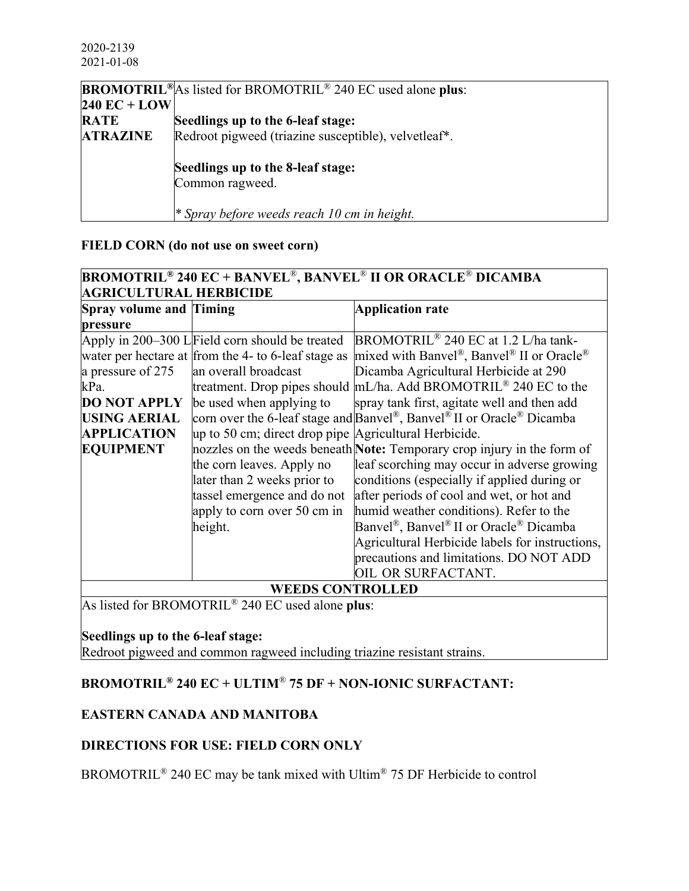|                 | <b>BROMOTRIL</b> <sup>®</sup> As listed for BROMOTRIL <sup>®</sup> 240 EC used alone plus:                 |
|-----------------|------------------------------------------------------------------------------------------------------------|
| 240 EC + LOW    |                                                                                                            |
| <b>RATE</b>     | Seedlings up to the 6-leaf stage:                                                                          |
| <b>ATRAZINE</b> | Redroot pigweed (triazine susceptible), velvetleaf*.                                                       |
|                 | Seedlings up to the 8-leaf stage:<br>Common ragweed.<br><i>* Spray before weeds reach 10 cm in height.</i> |

## **FIELD CORN (do not use on sweet corn)**

| <b>BROMOTRIL<sup>®</sup> 240 EC + BANVEL<sup>®</sup>, BANVEL<sup>®</sup> II OR ORACLE<sup>®</sup> DICAMBA</b> |                                                       |                                                                                                            |  |
|---------------------------------------------------------------------------------------------------------------|-------------------------------------------------------|------------------------------------------------------------------------------------------------------------|--|
| <b>AGRICULTURAL HERBICIDE</b>                                                                                 |                                                       |                                                                                                            |  |
| <b>Spray volume and Timing</b>                                                                                |                                                       | <b>Application rate</b>                                                                                    |  |
| pressure                                                                                                      |                                                       |                                                                                                            |  |
|                                                                                                               | Apply in 200–300 LField corn should be treated        | BROMOTRIL <sup>®</sup> 240 EC at 1.2 L/ha tank-                                                            |  |
|                                                                                                               | water per hectare at from the 4- to 6-leaf stage as   | mixed with Banvel®, Banvel® II or Oracle®                                                                  |  |
| a pressure of 275                                                                                             | an overall broadcast                                  | Dicamba Agricultural Herbicide at 290                                                                      |  |
| kPa.                                                                                                          |                                                       | treatment. Drop pipes should mL/ha. Add BROMOTRIL® 240 EC to the                                           |  |
| <b>DO NOT APPLY</b>                                                                                           | be used when applying to                              | spray tank first, agitate well and then add                                                                |  |
| <b>USING AERIAL</b>                                                                                           |                                                       | corn over the 6-leaf stage and Banvel <sup>®</sup> , Banvel <sup>®</sup> II or Oracle <sup>®</sup> Dicamba |  |
| <b>APPLICATION</b>                                                                                            | up to 50 cm; direct drop pipe Agricultural Herbicide. |                                                                                                            |  |
| <b>EQUIPMENT</b>                                                                                              |                                                       | nozzles on the weeds beneath <b>Note:</b> Temporary crop injury in the form of                             |  |
|                                                                                                               | the corn leaves. Apply no                             | leaf scorching may occur in adverse growing                                                                |  |
|                                                                                                               | later than 2 weeks prior to                           | conditions (especially if applied during or                                                                |  |
|                                                                                                               | tassel emergence and do not                           | after periods of cool and wet, or hot and                                                                  |  |
|                                                                                                               | apply to corn over 50 cm in                           | humid weather conditions). Refer to the                                                                    |  |
|                                                                                                               | height.                                               | Banvel <sup>®</sup> , Banvel <sup>®</sup> II or Oracle <sup>®</sup> Dicamba                                |  |
|                                                                                                               |                                                       | Agricultural Herbicide labels for instructions,                                                            |  |
|                                                                                                               |                                                       | precautions and limitations. DO NOT ADD                                                                    |  |
|                                                                                                               |                                                       | OIL OR SURFACTANT.                                                                                         |  |
| <b>WEEDS CONTROLLED</b>                                                                                       |                                                       |                                                                                                            |  |

As listed for BROMOTRIL® 240 EC used alone **plus**:

#### **Seedlings up to the 6-leaf stage:**

Redroot pigweed and common ragweed including triazine resistant strains.

# **BROMOTRIL® 240 EC + ULTIM**® **75 DF + NON-IONIC SURFACTANT:**

# **EASTERN CANADA AND MANITOBA**

#### **DIRECTIONS FOR USE: FIELD CORN ONLY**

BROMOTRIL® 240 EC may be tank mixed with Ultim® 75 DF Herbicide to control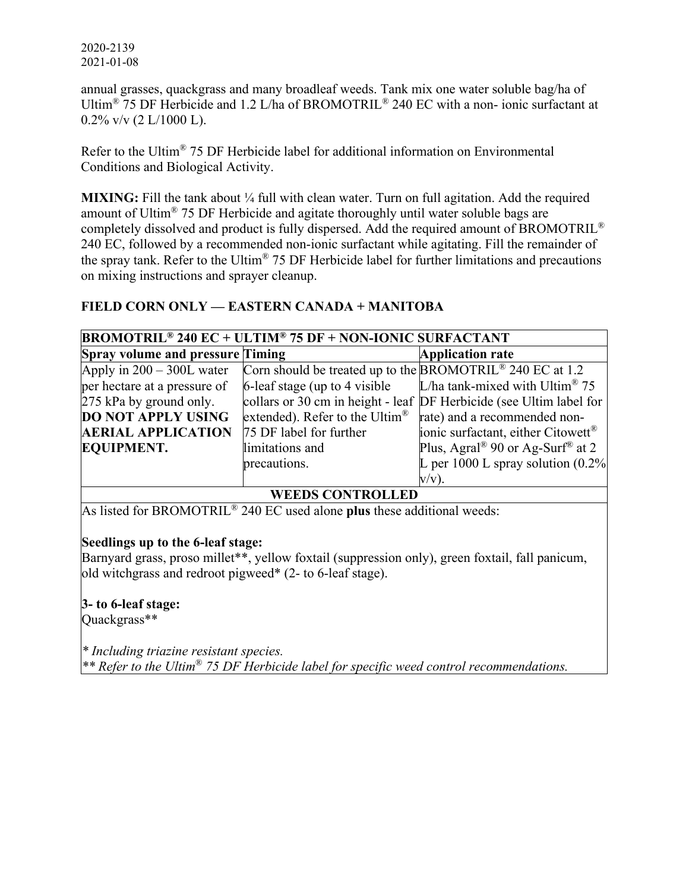2020-2139 2021-01-08

annual grasses, quackgrass and many broadleaf weeds. Tank mix one water soluble bag/ha of Ultim<sup>®</sup> 75 DF Herbicide and 1.2 L/ha of BROMOTRIL<sup>®</sup> 240 EC with a non- ionic surfactant at  $0.2\%$  v/v (2 L/1000 L).

Refer to the Ultim® 75 DF Herbicide label for additional information on Environmental Conditions and Biological Activity.

**MIXING:** Fill the tank about 1/4 full with clean water. Turn on full agitation. Add the required amount of Ultim® 75 DF Herbicide and agitate thoroughly until water soluble bags are completely dissolved and product is fully dispersed. Add the required amount of BROMOTRIL® 240 EC, followed by a recommended non-ionic surfactant while agitating. Fill the remainder of the spray tank. Refer to the Ultim® 75 DF Herbicide label for further limitations and precautions on mixing instructions and sprayer cleanup.

#### **FIELD CORN ONLY — EASTERN CANADA + MANITOBA**

| <b>BROMOTRIL<sup>®</sup> 240 EC + ULTIM<sup>®</sup> 75 DF + NON-IONIC SURFACTANT</b> |                                                                       |                                                                     |  |
|--------------------------------------------------------------------------------------|-----------------------------------------------------------------------|---------------------------------------------------------------------|--|
| <b>Spray volume and pressure Timing</b>                                              |                                                                       | <b>Application rate</b>                                             |  |
| Apply in $200 - 300L$ water                                                          | Corn should be treated up to the BROMOTRIL <sup>®</sup> 240 EC at 1.2 |                                                                     |  |
| per hectare at a pressure of                                                         | 6-leaf stage (up to 4 visible)                                        | L/ha tank-mixed with Ultim <sup>®</sup> 75                          |  |
| 275 kPa by ground only.                                                              |                                                                       | collars or 30 cm in height - leaf DF Herbicide (see Ultim label for |  |
| <b>DO NOT APPLY USING</b>                                                            | extended). Refer to the Ultim <sup>®</sup>                            | rate) and a recommended non-                                        |  |
| <b>AERIAL APPLICATION</b>                                                            | 75 DF label for further                                               | ionic surfactant, either Citowett®                                  |  |
| <b>EQUIPMENT.</b>                                                                    | limitations and                                                       | Plus, Agral <sup>®</sup> 90 or Ag-Surf <sup>®</sup> at 2            |  |
|                                                                                      | precautions.                                                          | L per 1000 L spray solution $(0.2\%$                                |  |
|                                                                                      |                                                                       | $V/V$ ).                                                            |  |

#### **WEEDS CONTROLLED**

As listed for BROMOTRIL® 240 EC used alone **plus** these additional weeds:

#### **Seedlings up to the 6-leaf stage:**

Barnyard grass, proso millet\*\*, yellow foxtail (suppression only), green foxtail, fall panicum, old witchgrass and redroot pigweed\* (2- to 6-leaf stage).

**3- to 6-leaf stage:**

Quackgrass\*\*

*\* Including triazine resistant species. \*\* Refer to the Ultim*® *75 DF Herbicide label for specific weed control recommendations.*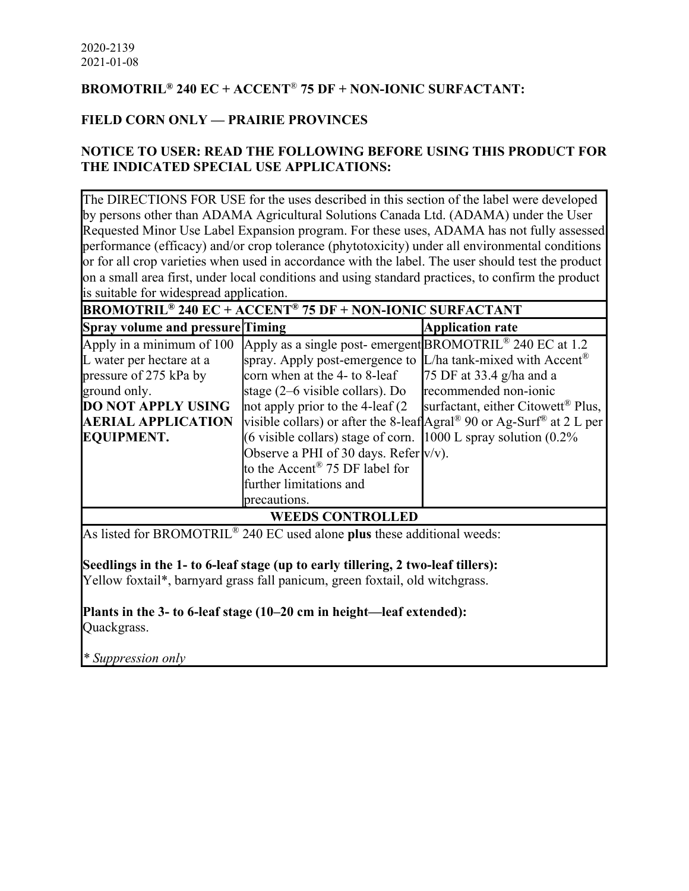# **BROMOTRIL® 240 EC + ACCENT**® **75 DF + NON-IONIC SURFACTANT:**

# **FIELD CORN ONLY — PRAIRIE PROVINCES**

# **NOTICE TO USER: READ THE FOLLOWING BEFORE USING THIS PRODUCT FOR THE INDICATED SPECIAL USE APPLICATIONS:**

The DIRECTIONS FOR USE for the uses described in this section of the label were developed by persons other than ADAMA Agricultural Solutions Canada Ltd. (ADAMA) under the User Requested Minor Use Label Expansion program. For these uses, ADAMA has not fully assessed performance (efficacy) and/or crop tolerance (phytotoxicity) under all environmental conditions or for all crop varieties when used in accordance with the label. The user should test the product on a small area first, under local conditions and using standard practices, to confirm the product is suitable for widespread application.

| <b>BROMOTRIL<sup>®</sup> 240 EC + ACCENT<sup>®</sup> 75 DF + NON-IONIC SURFACTANT</b> |                                                                                   |                                                                                               |  |
|---------------------------------------------------------------------------------------|-----------------------------------------------------------------------------------|-----------------------------------------------------------------------------------------------|--|
| <b>Spray volume and pressure Timing</b>                                               |                                                                                   | <b>Application rate</b>                                                                       |  |
| Apply in a minimum of 100                                                             | Apply as a single post-emergent BROMOTRIL <sup>®</sup> 240 EC at 1.2              |                                                                                               |  |
| L water per hectare at a                                                              | spray. Apply post-emergence to $[L/ha \text{ tank-mixed with Accent}^{\circledR}$ |                                                                                               |  |
| pressure of 275 kPa by                                                                | corn when at the 4- to 8-leaf                                                     | 75 DF at 33.4 g/ha and a                                                                      |  |
| ground only.                                                                          | stage $(2-6$ visible collars). Do                                                 | recommended non-ionic                                                                         |  |
| <b>DO NOT APPLY USING</b>                                                             | not apply prior to the 4-leaf (2)                                                 | surfactant, either Citowett <sup>®</sup> Plus,                                                |  |
| <b>AERIAL APPLICATION</b>                                                             |                                                                                   | visible collars) or after the 8-leaf Agral <sup>®</sup> 90 or Ag-Surf <sup>®</sup> at 2 L per |  |
| <b>EQUIPMENT.</b>                                                                     | (6 visible collars) stage of corn. $ 1000 \text{ L}$ spray solution (0.2%)        |                                                                                               |  |
|                                                                                       | Observe a PHI of 30 days. Refer $v/v$ ).                                          |                                                                                               |  |
|                                                                                       | to the $\text{Accent}^{\circledR}$ 75 DF label for                                |                                                                                               |  |
|                                                                                       | further limitations and                                                           |                                                                                               |  |
|                                                                                       | precautions.                                                                      |                                                                                               |  |
| <b>WEEDS CONTROLLED</b>                                                               |                                                                                   |                                                                                               |  |

As listed for BROMOTRIL® 240 EC used alone **plus** these additional weeds:

**Seedlings in the 1- to 6-leaf stage (up to early tillering, 2 two-leaf tillers):**

Yellow foxtail\*, barnyard grass fall panicum, green foxtail, old witchgrass.

**Plants in the 3- to 6-leaf stage (10–20 cm in height—leaf extended):** Quackgrass.

*\* Suppression only*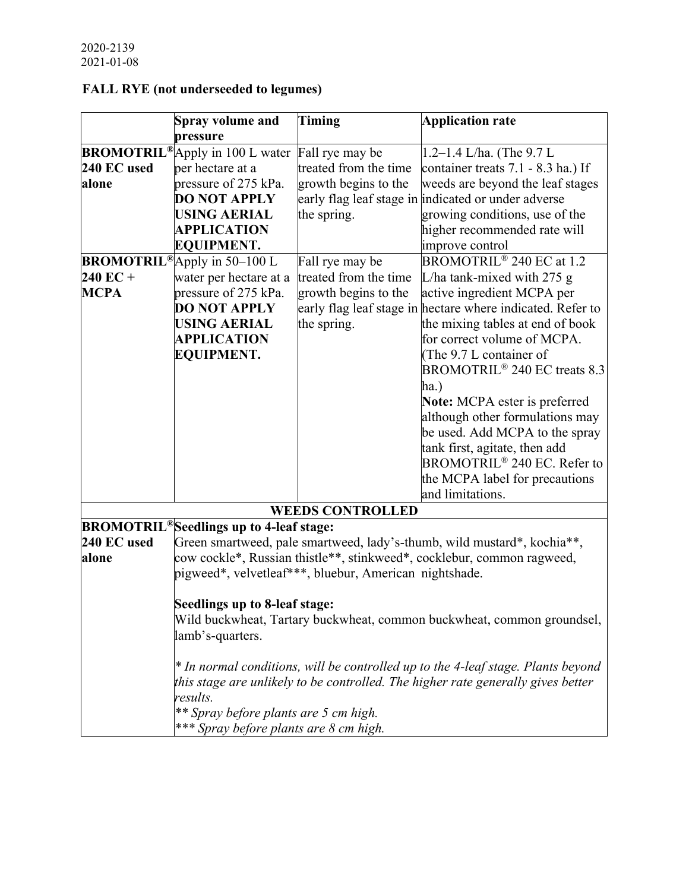# **FALL RYE (not underseeded to legumes)**

|             | Spray volume and                                     | <b>Timing</b>                                          | <b>Application rate</b>                                                          |
|-------------|------------------------------------------------------|--------------------------------------------------------|----------------------------------------------------------------------------------|
|             | pressure                                             |                                                        |                                                                                  |
|             | <b>BROMOTRIL®</b> Apply in 100 L water               | Fall rye may be                                        | $1.2 - 1.4$ L/ha. (The 9.7 L                                                     |
| 240 EC used | per hectare at a                                     | treated from the time                                  | container treats 7.1 - 8.3 ha.) If                                               |
| alone       | pressure of 275 kPa.                                 | growth begins to the                                   | weeds are beyond the leaf stages                                                 |
|             | <b>DO NOT APPLY</b>                                  |                                                        | early flag leaf stage in indicated or under adverse                              |
|             | <b>USING AERIAL</b>                                  | the spring.                                            | growing conditions, use of the                                                   |
|             | <b>APPLICATION</b>                                   |                                                        | higher recommended rate will                                                     |
|             | <b>EQUIPMENT.</b>                                    |                                                        | improve control                                                                  |
|             | <b>BROMOTRIL<sup>®</sup>Apply</b> in 50-100 L        | Fall rye may be                                        | BROMOTRIL <sup>®</sup> 240 EC at 1.2                                             |
| $240$ EC +  | water per hectare at a                               | treated from the time                                  | L/ha tank-mixed with $275$ g                                                     |
| <b>MCPA</b> | pressure of 275 kPa.                                 | growth begins to the                                   | active ingredient MCPA per                                                       |
|             | <b>DO NOT APPLY</b>                                  |                                                        | early flag leaf stage in hectare where indicated. Refer to                       |
|             | <b>USING AERIAL</b>                                  | the spring.                                            | the mixing tables at end of book                                                 |
|             | <b>APPLICATION</b>                                   |                                                        | for correct volume of MCPA.                                                      |
|             | <b>EQUIPMENT.</b>                                    |                                                        | (The 9.7 L container of                                                          |
|             |                                                      |                                                        | BROMOTRIL <sup>®</sup> 240 EC treats 8.3                                         |
|             |                                                      |                                                        | ha.)                                                                             |
|             |                                                      |                                                        | Note: MCPA ester is preferred                                                    |
|             |                                                      |                                                        | although other formulations may                                                  |
|             |                                                      |                                                        | be used. Add MCPA to the spray                                                   |
|             |                                                      |                                                        | tank first, agitate, then add                                                    |
|             |                                                      |                                                        | BROMOTRIL <sup>®</sup> 240 EC. Refer to                                          |
|             |                                                      |                                                        |                                                                                  |
|             |                                                      |                                                        | the MCPA label for precautions                                                   |
|             |                                                      |                                                        | and limitations.                                                                 |
|             |                                                      | <b>WEEDS CONTROLLED</b>                                |                                                                                  |
|             | BROMOTRIL <sup>®</sup> Seedlings up to 4-leaf stage: |                                                        |                                                                                  |
| 240 EC used |                                                      |                                                        | Green smartweed, pale smartweed, lady's-thumb, wild mustard*, kochia**,          |
| alone       |                                                      |                                                        | cow cockle*, Russian thistle**, stinkweed*, cocklebur, common ragweed,           |
|             |                                                      | pigweed*, velvetleaf***, bluebur, American nightshade. |                                                                                  |
|             | Seedlings up to 8-leaf stage:                        |                                                        |                                                                                  |
|             |                                                      |                                                        | Wild buckwheat, Tartary buckwheat, common buckwheat, common groundsel,           |
|             | lamb's-quarters.                                     |                                                        |                                                                                  |
|             |                                                      |                                                        |                                                                                  |
|             |                                                      |                                                        | * In normal conditions, will be controlled up to the 4-leaf stage. Plants beyond |
|             |                                                      |                                                        | this stage are unlikely to be controlled. The higher rate generally gives better |
|             | results.                                             |                                                        |                                                                                  |
|             | ** Spray before plants are 5 cm high.                |                                                        |                                                                                  |
|             | *** Spray before plants are 8 cm high.               |                                                        |                                                                                  |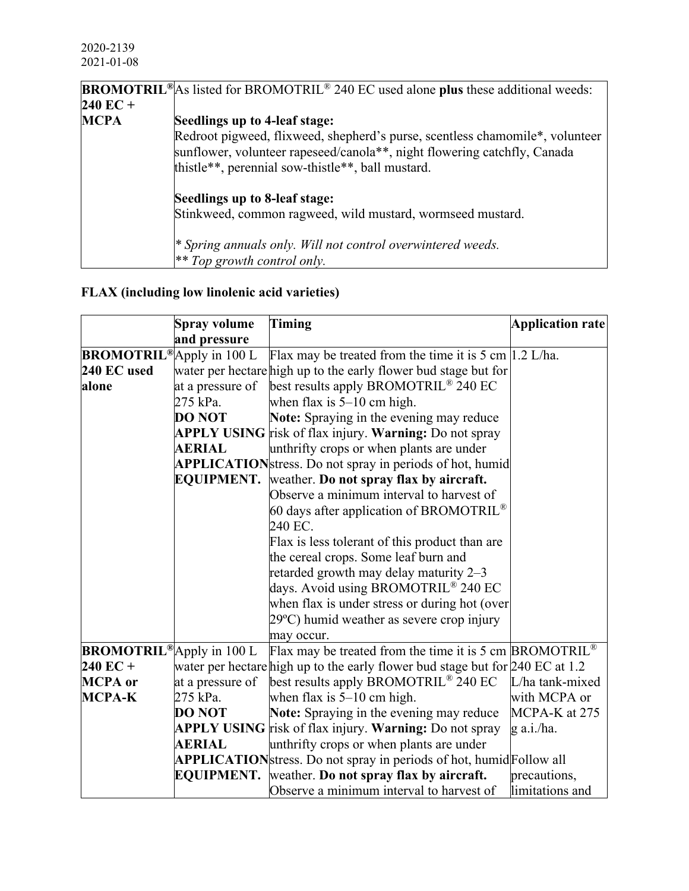|                    | <b>BROMOTRIL</b> <sup>®</sup> As listed for BROMOTRIL <sup>®</sup> 240 EC used alone plus these additional weeds: |
|--------------------|-------------------------------------------------------------------------------------------------------------------|
| $240 \text{ EC} +$ |                                                                                                                   |
| <b>MCPA</b>        | Seedlings up to 4-leaf stage:                                                                                     |
|                    | Redroot pigweed, flixweed, shepherd's purse, scentless chamomile*, volunteer                                      |
|                    | sunflower, volunteer rapeseed/canola**, night flowering catchfly, Canada                                          |
|                    | thistle**, perennial sow-thistle**, ball mustard.                                                                 |
|                    | Seedlings up to 8-leaf stage:                                                                                     |
|                    | Stinkweed, common ragweed, wild mustard, wormseed mustard.                                                        |
|                    | <sup>*</sup> Spring annuals only. Will not control overwintered weeds.                                            |
|                    |                                                                                                                   |
|                    | $*$ Top growth control only.                                                                                      |

# **FLAX (including low linolenic acid varieties)**

|                                  | Spray volume      | <b>Timing</b>                                                                   | <b>Application rate</b> |
|----------------------------------|-------------------|---------------------------------------------------------------------------------|-------------------------|
|                                  | and pressure      |                                                                                 |                         |
| <b>BROMOTRIL®</b> Apply in 100 L |                   | Flax may be treated from the time it is $5 \text{ cm}$  1.2 L/ha.               |                         |
| 240 EC used                      |                   | water per hectare high up to the early flower bud stage but for                 |                         |
| alone                            | at a pressure of  | best results apply BROMOTRIL <sup>®</sup> 240 EC                                |                         |
|                                  | 275 kPa.          | when flax is $5-10$ cm high.                                                    |                         |
|                                  | <b>DO NOT</b>     | Note: Spraying in the evening may reduce                                        |                         |
|                                  |                   | <b>APPLY USING</b> risk of flax injury. Warning: Do not spray                   |                         |
|                                  | <b>AERIAL</b>     | unthrifty crops or when plants are under                                        |                         |
|                                  |                   | APPLICATIONstress. Do not spray in periods of hot, humid                        |                         |
|                                  | <b>EQUIPMENT.</b> | weather. Do not spray flax by aircraft.                                         |                         |
|                                  |                   | Observe a minimum interval to harvest of                                        |                         |
|                                  |                   | 60 days after application of BROMOTRIL <sup>®</sup>                             |                         |
|                                  |                   | 240 EC.                                                                         |                         |
|                                  |                   | Flax is less tolerant of this product than are                                  |                         |
|                                  |                   | the cereal crops. Some leaf burn and                                            |                         |
|                                  |                   | retarded growth may delay maturity 2-3                                          |                         |
|                                  |                   | days. Avoid using BROMOTRIL® 240 EC                                             |                         |
|                                  |                   | when flax is under stress or during hot (over                                   |                         |
|                                  |                   | $29^{\circ}$ C) humid weather as severe crop injury                             |                         |
|                                  |                   | may occur.                                                                      |                         |
| <b>BROMOTRIL®</b> Apply in 100 L |                   | Flax may be treated from the time it is 5 cm BROMOTRIL <sup>®</sup>             |                         |
| $240$ EC +                       |                   | water per hectare high up to the early flower bud stage but for $240$ EC at 1.2 |                         |
| <b>MCPA</b> or                   | at a pressure of  | best results apply BROMOTRIL <sup>®</sup> 240 EC                                | L/ha tank-mixed         |
| <b>MCPA-K</b>                    | 275 kPa.          | when flax is $5-10$ cm high.                                                    | with MCPA or            |
|                                  | <b>DO NOT</b>     | Note: Spraying in the evening may reduce                                        | MCPA-K at 275           |
|                                  |                   | <b>APPLY USING</b> risk of flax injury. Warning: Do not spray                   | $g$ a.i./ha.            |
|                                  | <b>AERIAL</b>     | unthrifty crops or when plants are under                                        |                         |
|                                  |                   | APPLICATIONstress. Do not spray in periods of hot, humid Follow all             |                         |
|                                  | <b>EOUIPMENT.</b> | weather. Do not spray flax by aircraft.                                         | precautions,            |
|                                  |                   | Observe a minimum interval to harvest of                                        | limitations and         |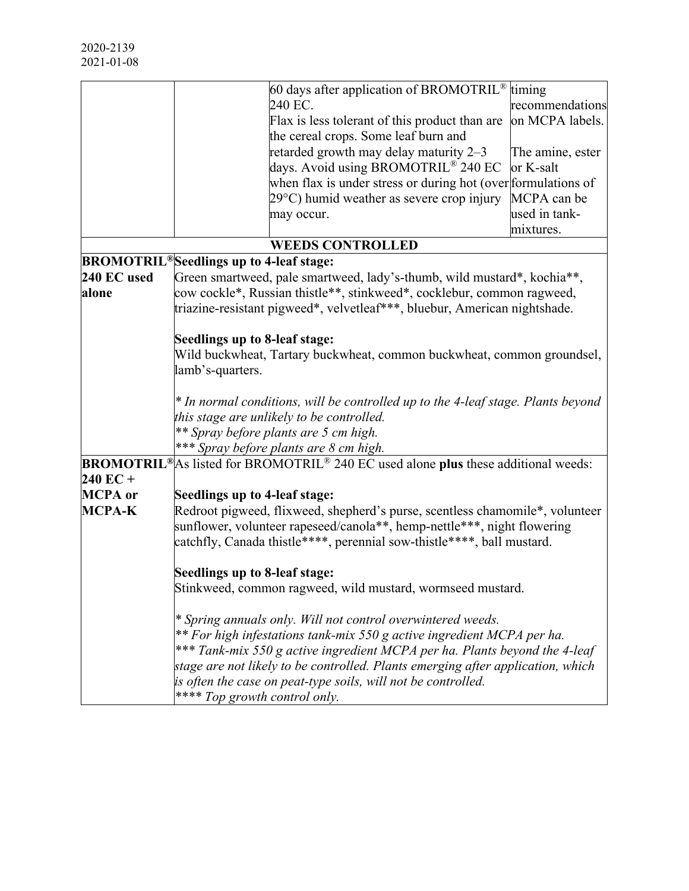|                |                                                                         | 60 days after application of BROMOTRIL®                                                                                       | timing           |  |
|----------------|-------------------------------------------------------------------------|-------------------------------------------------------------------------------------------------------------------------------|------------------|--|
|                |                                                                         | 240 EC.                                                                                                                       | recommendations  |  |
|                |                                                                         | Flax is less tolerant of this product than are                                                                                | on MCPA labels.  |  |
|                |                                                                         | the cereal crops. Some leaf burn and                                                                                          |                  |  |
|                |                                                                         | retarded growth may delay maturity 2-3                                                                                        | The amine, ester |  |
|                |                                                                         | days. Avoid using BROMOTRIL® 240 EC                                                                                           | or K-salt        |  |
|                |                                                                         | when flax is under stress or during hot (over formulations of                                                                 |                  |  |
|                |                                                                         | 29°C) humid weather as severe crop injury                                                                                     | MCPA can be      |  |
|                |                                                                         | may occur.                                                                                                                    | used in tank-    |  |
|                |                                                                         |                                                                                                                               | mixtures.        |  |
|                |                                                                         | <b>WEEDS CONTROLLED</b>                                                                                                       |                  |  |
|                | BROMOTRIL <sup>®</sup> Seedlings up to 4-leaf stage:                    |                                                                                                                               |                  |  |
| 240 EC used    |                                                                         | Green smartweed, pale smartweed, lady's-thumb, wild mustard*, kochia**,                                                       |                  |  |
| alone          |                                                                         | cow cockle*, Russian thistle**, stinkweed*, cocklebur, common ragweed,                                                        |                  |  |
|                |                                                                         | triazine-resistant pigweed*, velvetleaf***, bluebur, American nightshade.                                                     |                  |  |
|                | Seedlings up to 8-leaf stage:                                           |                                                                                                                               |                  |  |
|                | Wild buckwheat, Tartary buckwheat, common buckwheat, common groundsel,  |                                                                                                                               |                  |  |
|                | lamb's-quarters.                                                        |                                                                                                                               |                  |  |
|                |                                                                         | * In normal conditions, will be controlled up to the 4-leaf stage. Plants beyond<br>this stage are unlikely to be controlled. |                  |  |
|                |                                                                         |                                                                                                                               |                  |  |
|                |                                                                         | ** Spray before plants are 5 cm high.                                                                                         |                  |  |
|                |                                                                         | *** Spray before plants are 8 cm high.                                                                                        |                  |  |
|                |                                                                         | <b>BROMOTRIL</b> <sup>®</sup> As listed for BROMOTRIL <sup>®</sup> 240 EC used alone plus these additional weeds:             |                  |  |
| $240$ EC +     |                                                                         |                                                                                                                               |                  |  |
| <b>MCPA</b> or | Seedlings up to 4-leaf stage:                                           |                                                                                                                               |                  |  |
| <b>MCPA-K</b>  |                                                                         | Redroot pigweed, flixweed, shepherd's purse, scentless chamomile*, volunteer                                                  |                  |  |
|                | sunflower, volunteer rapeseed/canola**, hemp-nettle***, night flowering |                                                                                                                               |                  |  |
|                | catchfly, Canada thistle****, perennial sow-thistle****, ball mustard.  |                                                                                                                               |                  |  |
|                | Seedlings up to 8-leaf stage:                                           |                                                                                                                               |                  |  |
|                |                                                                         | Stinkweed, common ragweed, wild mustard, wormseed mustard.                                                                    |                  |  |
|                |                                                                         | * Spring annuals only. Will not control overwintered weeds.                                                                   |                  |  |
|                |                                                                         | ** For high infestations tank-mix 550 g active ingredient MCPA per ha.                                                        |                  |  |
|                |                                                                         | *** Tank-mix 550 g active ingredient MCPA per ha. Plants beyond the 4-leaf                                                    |                  |  |
|                |                                                                         | stage are not likely to be controlled. Plants emerging after application, which                                               |                  |  |
|                |                                                                         | is often the case on peat-type soils, will not be controlled.                                                                 |                  |  |
|                | **** Top growth control only.                                           |                                                                                                                               |                  |  |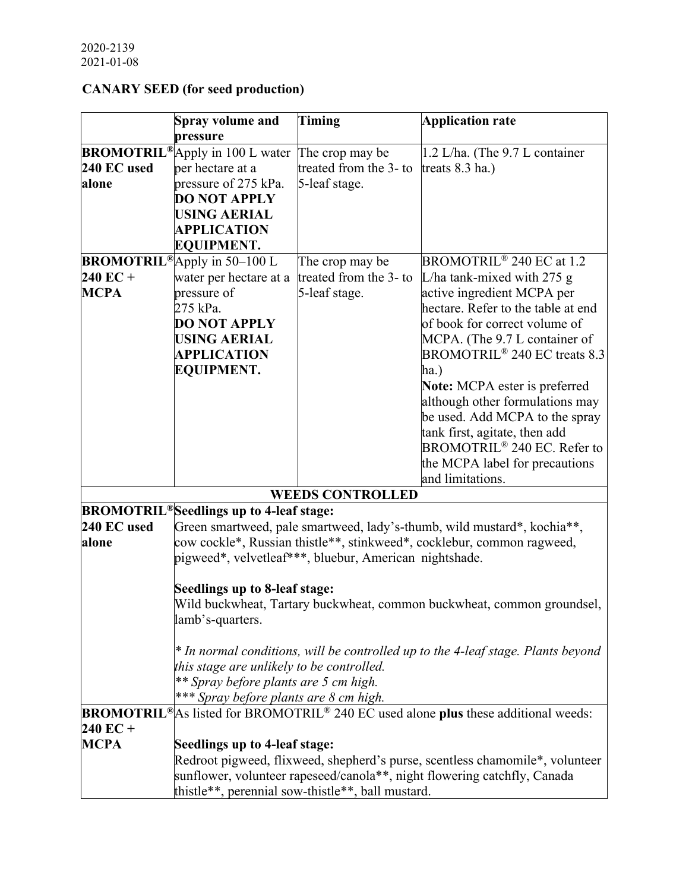# **CANARY SEED (for seed production)**

|             | <b>Spray volume and</b>                                   | <b>Timing</b>           | <b>Application rate</b>                                                                                        |
|-------------|-----------------------------------------------------------|-------------------------|----------------------------------------------------------------------------------------------------------------|
|             | pressure                                                  |                         |                                                                                                                |
|             | <b>BROMOTRIL®</b> Apply in 100 L water                    | The crop may be         | 1.2 L/ha. (The 9.7 L container                                                                                 |
| 240 EC used | per hectare at a                                          | treated from the 3- to  | treats 8.3 ha.)                                                                                                |
| alone       | pressure of 275 kPa.                                      | 5-leaf stage.           |                                                                                                                |
|             | <b>DO NOT APPLY</b>                                       |                         |                                                                                                                |
|             | <b>USING AERIAL</b>                                       |                         |                                                                                                                |
|             | <b>APPLICATION</b>                                        |                         |                                                                                                                |
|             | <b>EQUIPMENT.</b>                                         |                         |                                                                                                                |
|             | <b>BROMOTRIL<sup>®</sup>Apply</b> in 50-100 L             | The crop may be         | BROMOTRIL <sup>®</sup> 240 EC at 1.2                                                                           |
| $240$ EC +  | water per hectare at a                                    | treated from the 3- to  | L/ha tank-mixed with 275 $g$                                                                                   |
| <b>MCPA</b> | pressure of                                               | 5-leaf stage.           | active ingredient MCPA per                                                                                     |
|             | 275 kPa.                                                  |                         | hectare. Refer to the table at end                                                                             |
|             | <b>DO NOT APPLY</b>                                       |                         | of book for correct volume of                                                                                  |
|             | <b>USING AERIAL</b>                                       |                         | MCPA. (The 9.7 L container of                                                                                  |
|             | <b>APPLICATION</b>                                        |                         | BROMOTRIL <sup>®</sup> 240 EC treats 8.3                                                                       |
|             | <b>EQUIPMENT.</b>                                         |                         | ha.)                                                                                                           |
|             |                                                           |                         | <b>Note:</b> MCPA ester is preferred                                                                           |
|             |                                                           |                         | although other formulations may                                                                                |
|             |                                                           |                         | be used. Add MCPA to the spray                                                                                 |
|             |                                                           |                         | tank first, agitate, then add                                                                                  |
|             |                                                           |                         | BROMOTRIL <sup>®</sup> 240 EC. Refer to                                                                        |
|             |                                                           |                         | the MCPA label for precautions                                                                                 |
|             |                                                           |                         | and limitations.                                                                                               |
|             |                                                           | <b>WEEDS CONTROLLED</b> |                                                                                                                |
|             | <b>BROMOTRIL<sup>®</sup>Seedlings up to 4-leaf stage:</b> |                         |                                                                                                                |
| 240 EC used |                                                           |                         | Green smartweed, pale smartweed, lady's-thumb, wild mustard*, kochia**,                                        |
| alone       |                                                           |                         | cow cockle*, Russian thistle**, stinkweed*, cocklebur, common ragweed,                                         |
|             | pigweed*, velvetleaf***, bluebur, American nightshade.    |                         |                                                                                                                |
|             |                                                           |                         |                                                                                                                |
|             | Seedlings up to 8-leaf stage:                             |                         |                                                                                                                |
|             |                                                           |                         | Wild buckwheat, Tartary buckwheat, common buckwheat, common groundsel,                                         |
|             | lamb's-quarters.                                          |                         |                                                                                                                |
|             |                                                           |                         |                                                                                                                |
|             | this stage are unlikely to be controlled.                 |                         | * In normal conditions, will be controlled up to the 4-leaf stage. Plants beyond                               |
|             | ** Spray before plants are 5 cm high.                     |                         |                                                                                                                |
|             | *** Spray before plants are 8 cm high.                    |                         |                                                                                                                |
|             |                                                           |                         | <b>BROMOTRIL<sup>®</sup>As listed for BROMOTRIL<sup>®</sup> 240 EC used alone plus these additional weeds:</b> |
| $240$ EC +  |                                                           |                         |                                                                                                                |
| MCPA        |                                                           |                         |                                                                                                                |
|             | Seedlings up to 4-leaf stage:                             |                         | Redroot pigweed, flixweed, shepherd's purse, scentless chamomile*, volunteer                                   |
|             |                                                           |                         |                                                                                                                |
|             |                                                           |                         | sunflower, volunteer rapeseed/canola**, night flowering catchfly, Canada                                       |
|             | thistle**, perennial sow-thistle**, ball mustard.         |                         |                                                                                                                |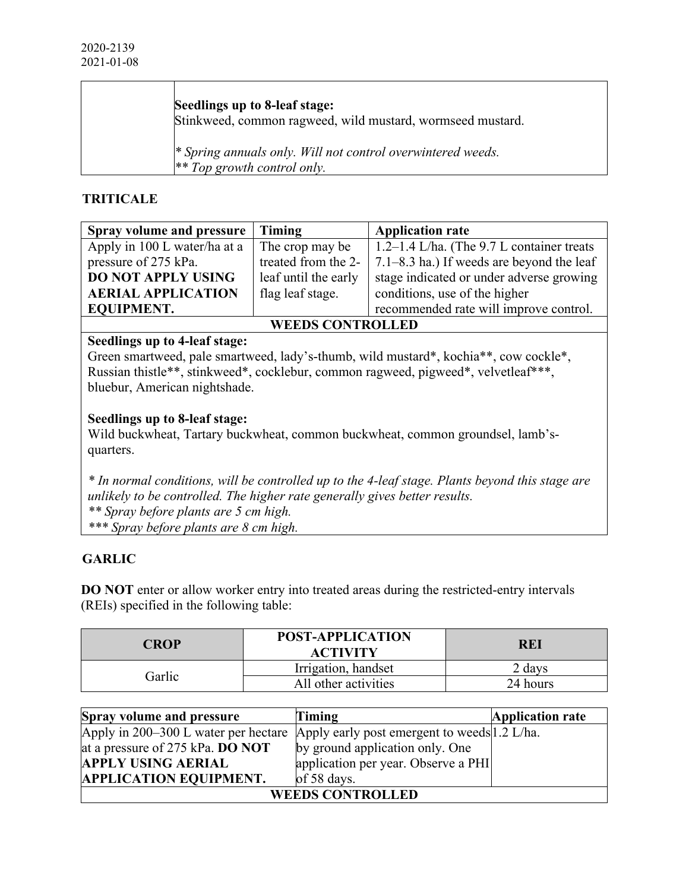| Seedlings up to 8-leaf stage:<br>Stinkweed, common ragweed, wild mustard, wormseed mustard. |
|---------------------------------------------------------------------------------------------|
| * Spring annuals only. Will not control overwintered weeds.<br>$*$ Top growth control only. |

# **TRITICALE**

| <b>Spray volume and pressure</b> | Timing               | <b>Application rate</b>                           |  |
|----------------------------------|----------------------|---------------------------------------------------|--|
| Apply in 100 L water/ha at a     | The crop may be      | $\vert$ 1.2–1.4 L/ha. (The 9.7 L container treats |  |
| pressure of 275 kPa.             | treated from the 2-  | 7.1–8.3 ha.) If weeds are beyond the leaf         |  |
| <b>DO NOT APPLY USING</b>        | leaf until the early | stage indicated or under adverse growing          |  |
| <b>AERIAL APPLICATION</b>        | flag leaf stage.     | conditions, use of the higher                     |  |
| <b>EQUIPMENT.</b>                |                      | recommended rate will improve control.            |  |
| <b>WEEDS CONTROLLED</b>          |                      |                                                   |  |

# **Seedlings up to 4-leaf stage:**

┯

Green smartweed, pale smartweed, lady's-thumb, wild mustard\*, kochia\*\*, cow cockle\*, Russian thistle\*\*, stinkweed\*, cocklebur, common ragweed, pigweed\*, velvetleaf\*\*\*, bluebur, American nightshade.

#### **Seedlings up to 8-leaf stage:**

Wild buckwheat, Tartary buckwheat, common buckwheat, common groundsel, lamb'squarters.

*\* In normal conditions, will be controlled up to the 4-leaf stage. Plants beyond this stage are unlikely to be controlled. The higher rate generally gives better results. \*\* Spray before plants are 5 cm high. \*\*\* Spray before plants are 8 cm high.*

#### **GARLIC**

**DO NOT** enter or allow worker entry into treated areas during the restricted-entry intervals (REIs) specified in the following table:

| <b>POST-APPLICATION</b><br>CROP<br><b>ACTIVITY</b> |                      | REI      |
|----------------------------------------------------|----------------------|----------|
| Garlic                                             | Irrigation, handset  | davs !   |
|                                                    | All other activities | 24 hours |

| <b>Spray volume and pressure</b>                                                   | <b>Timing</b>                       | <b>Application rate</b> |  |  |  |
|------------------------------------------------------------------------------------|-------------------------------------|-------------------------|--|--|--|
| Apply in 200–300 L water per hectare  Apply early post emergent to weeds 1.2 L/ha. |                                     |                         |  |  |  |
| at a pressure of 275 kPa. DO NOT                                                   | by ground application only. One     |                         |  |  |  |
| <b>APPLY USING AERIAL</b>                                                          | application per year. Observe a PHI |                         |  |  |  |
| <b>APPLICATION EQUIPMENT.</b>                                                      | of 58 days.                         |                         |  |  |  |
| <b>WEEDS CONTROLLED</b>                                                            |                                     |                         |  |  |  |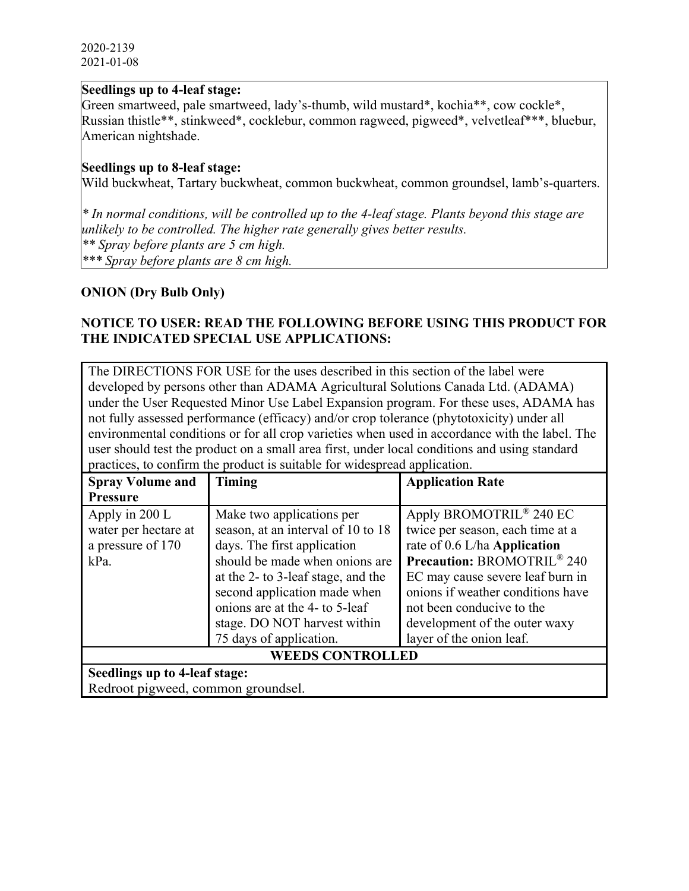#### **Seedlings up to 4-leaf stage:**

Green smartweed, pale smartweed, lady's-thumb, wild mustard\*, kochia\*\*, cow cockle\*, Russian thistle\*\*, stinkweed\*, cocklebur, common ragweed, pigweed\*, velvetleaf\*\*\*, bluebur, American nightshade.

#### **Seedlings up to 8-leaf stage:**

Wild buckwheat, Tartary buckwheat, common buckwheat, common groundsel, lamb's-quarters.

*\* In normal conditions, will be controlled up to the 4-leaf stage. Plants beyond this stage are unlikely to be controlled. The higher rate generally gives better results. \*\* Spray before plants are 5 cm high. \*\*\* Spray before plants are 8 cm high.*

#### **ONION (Dry Bulb Only)**

#### **NOTICE TO USER: READ THE FOLLOWING BEFORE USING THIS PRODUCT FOR THE INDICATED SPECIAL USE APPLICATIONS:**

The DIRECTIONS FOR USE for the uses described in this section of the label were developed by persons other than ADAMA Agricultural Solutions Canada Ltd. (ADAMA) under the User Requested Minor Use Label Expansion program. For these uses, ADAMA has not fully assessed performance (efficacy) and/or crop tolerance (phytotoxicity) under all environmental conditions or for all crop varieties when used in accordance with the label. The user should test the product on a small area first, under local conditions and using standard practices, to confirm the product is suitable for widespread application.

| <b>Spray Volume and</b>                                             | Timing                                                                                                                                                                                                                                   | <b>Application Rate</b>                                                                                                                                                                                                                            |  |  |  |
|---------------------------------------------------------------------|------------------------------------------------------------------------------------------------------------------------------------------------------------------------------------------------------------------------------------------|----------------------------------------------------------------------------------------------------------------------------------------------------------------------------------------------------------------------------------------------------|--|--|--|
| <b>Pressure</b>                                                     |                                                                                                                                                                                                                                          |                                                                                                                                                                                                                                                    |  |  |  |
| Apply in 200 L<br>water per hectare at<br>a pressure of 170<br>kPa. | Make two applications per<br>season, at an interval of 10 to 18<br>days. The first application<br>should be made when onions are<br>at the 2- to 3-leaf stage, and the<br>second application made when<br>onions are at the 4- to 5-leaf | Apply BROMOTRIL <sup>®</sup> 240 EC<br>twice per season, each time at a<br>rate of 0.6 L/ha Application<br><b>Precaution: BROMOTRIL® 240</b><br>EC may cause severe leaf burn in<br>onions if weather conditions have<br>not been conducive to the |  |  |  |
|                                                                     | stage. DO NOT harvest within                                                                                                                                                                                                             | development of the outer waxy                                                                                                                                                                                                                      |  |  |  |
|                                                                     | 75 days of application.                                                                                                                                                                                                                  | layer of the onion leaf.                                                                                                                                                                                                                           |  |  |  |
| <b>WEEDS CONTROLLED</b>                                             |                                                                                                                                                                                                                                          |                                                                                                                                                                                                                                                    |  |  |  |
| Seedlings up to 4-leaf stage:                                       |                                                                                                                                                                                                                                          |                                                                                                                                                                                                                                                    |  |  |  |
| Redroot pigweed, common groundsel.                                  |                                                                                                                                                                                                                                          |                                                                                                                                                                                                                                                    |  |  |  |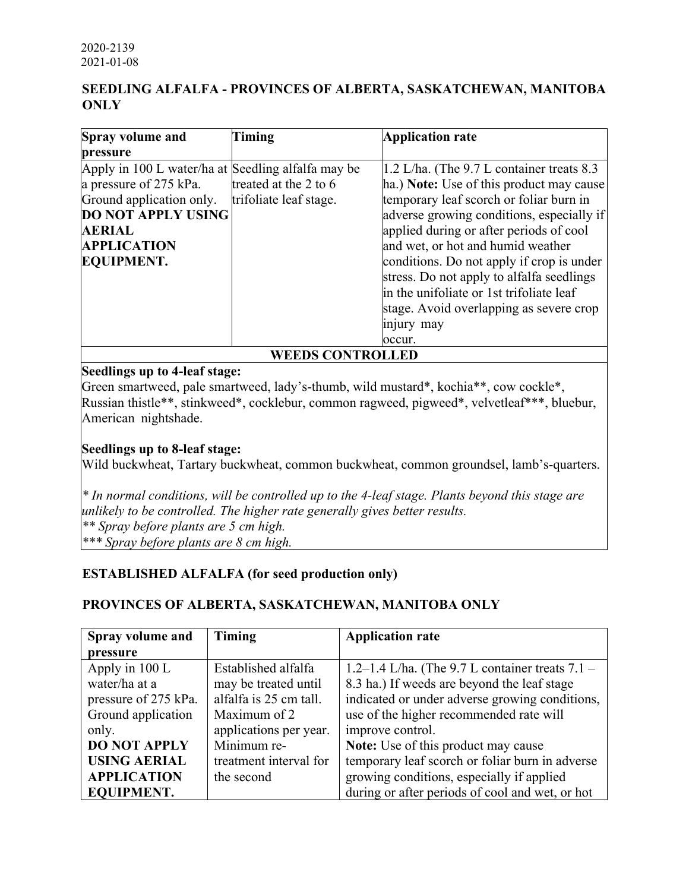# **SEEDLING ALFALFA - PROVINCES OF ALBERTA, SASKATCHEWAN, MANITOBA ONLY**

| Spray volume and                                   | Timing                                  | <b>Application rate</b>                      |  |  |  |  |
|----------------------------------------------------|-----------------------------------------|----------------------------------------------|--|--|--|--|
| pressure                                           |                                         |                                              |  |  |  |  |
| Apply in 100 L water/ha at Seedling alfalfa may be |                                         | $1.2$ L/ha. (The 9.7 L container treats 8.3) |  |  |  |  |
| a pressure of 275 kPa.                             | treated at the 2 to 6                   | ha.) Note: Use of this product may cause     |  |  |  |  |
| Ground application only.                           | trifoliate leaf stage.                  | temporary leaf scorch or foliar burn in      |  |  |  |  |
| <b>DO NOT APPLY USING</b>                          |                                         | adverse growing conditions, especially if    |  |  |  |  |
| <b>AERIAL</b>                                      | applied during or after periods of cool |                                              |  |  |  |  |
| <b>APPLICATION</b>                                 | and wet, or hot and humid weather       |                                              |  |  |  |  |
| <b>EQUIPMENT.</b>                                  |                                         | conditions. Do not apply if crop is under    |  |  |  |  |
|                                                    |                                         | stress. Do not apply to alfalfa seedlings    |  |  |  |  |
|                                                    |                                         | in the unifoliate or 1st trifoliate leaf     |  |  |  |  |
|                                                    |                                         | stage. Avoid overlapping as severe crop      |  |  |  |  |
|                                                    |                                         | injury may                                   |  |  |  |  |
|                                                    |                                         | occur.                                       |  |  |  |  |
| <b>EEDS CONTROLLED</b>                             |                                         |                                              |  |  |  |  |

#### **Seedlings up to 4-leaf stage:**

Green smartweed, pale smartweed, lady's-thumb, wild mustard\*, kochia\*\*, cow cockle\*, Russian thistle\*\*, stinkweed\*, cocklebur, common ragweed, pigweed\*, velvetleaf\*\*\*, bluebur, American nightshade.

#### **Seedlings up to 8-leaf stage:**

Wild buckwheat, Tartary buckwheat, common buckwheat, common groundsel, lamb's-quarters.

*\* In normal conditions, will be controlled up to the 4-leaf stage. Plants beyond this stage are unlikely to be controlled. The higher rate generally gives better results. \*\* Spray before plants are 5 cm high. \*\*\* Spray before plants are 8 cm high.*

#### **ESTABLISHED ALFALFA (for seed production only)**

# **PROVINCES OF ALBERTA, SASKATCHEWAN, MANITOBA ONLY**

| Timing<br>Spray volume and |                        | <b>Application rate</b>                             |  |  |  |  |
|----------------------------|------------------------|-----------------------------------------------------|--|--|--|--|
| pressure                   |                        |                                                     |  |  |  |  |
| Apply in 100 L             | Established alfalfa    | 1.2–1.4 L/ha. (The $9.7$ L container treats $7.1$ – |  |  |  |  |
| water/ha at a              | may be treated until   | 8.3 ha.) If weeds are beyond the leaf stage         |  |  |  |  |
| pressure of 275 kPa.       | alfalfa is 25 cm tall. | indicated or under adverse growing conditions,      |  |  |  |  |
| Ground application         | Maximum of 2           | use of the higher recommended rate will             |  |  |  |  |
| only.                      | applications per year. | improve control.                                    |  |  |  |  |
| <b>DO NOT APPLY</b>        | Minimum re-            | Note: Use of this product may cause                 |  |  |  |  |
| <b>USING AERIAL</b>        | treatment interval for | temporary leaf scorch or foliar burn in adverse     |  |  |  |  |
| <b>APPLICATION</b>         | the second             | growing conditions, especially if applied           |  |  |  |  |
| <b>EQUIPMENT.</b>          |                        | during or after periods of cool and wet, or hot     |  |  |  |  |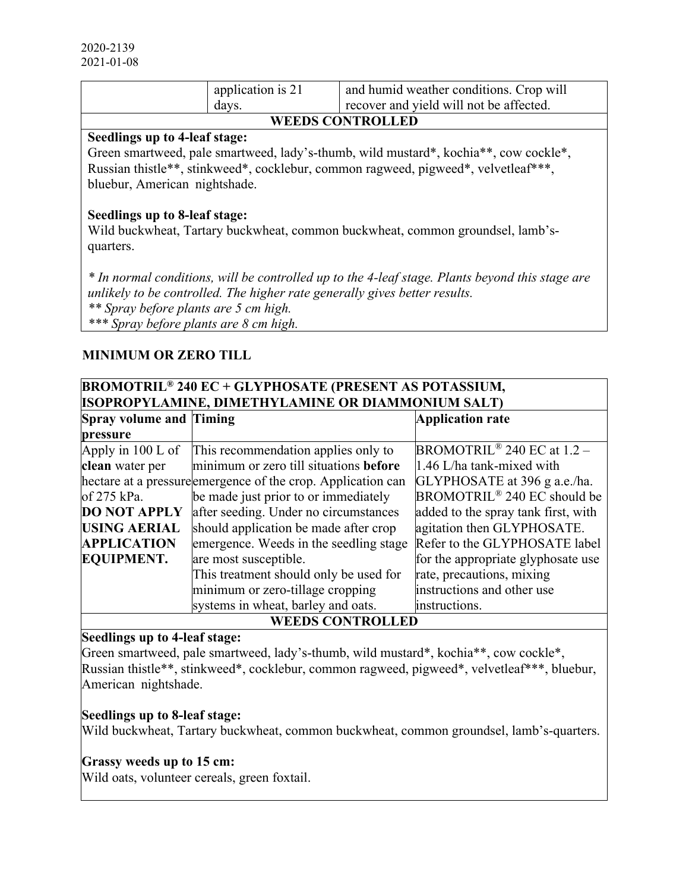|                               | application is 21<br>davs. | and humid weather conditions. Crop will<br>recover and yield will not be affected. |  |  |  |  |
|-------------------------------|----------------------------|------------------------------------------------------------------------------------|--|--|--|--|
| <b>WEEDS CONTROLLED</b>       |                            |                                                                                    |  |  |  |  |
| Seedlings up to 4-leaf stage: |                            |                                                                                    |  |  |  |  |
|                               |                            |                                                                                    |  |  |  |  |

Green smartweed, pale smartweed, lady's-thumb, wild mustard\*, kochia\*\*, cow cockle\*, Russian thistle\*\*, stinkweed\*, cocklebur, common ragweed, pigweed\*, velvetleaf\*\*\*, bluebur, American nightshade.

#### **Seedlings up to 8-leaf stage:**

Wild buckwheat, Tartary buckwheat, common buckwheat, common groundsel, lamb'squarters.

*\* In normal conditions, will be controlled up to the 4-leaf stage. Plants beyond this stage are unlikely to be controlled. The higher rate generally gives better results. \*\* Spray before plants are 5 cm high. \*\*\* Spray before plants are 8 cm high.*

#### **MINIMUM OR ZERO TILL**

| <b>BROMOTRIL<sup>®</sup> 240 EC + GLYPHOSATE (PRESENT AS POTASSIUM,</b> |                                                              |                                          |  |  |  |  |
|-------------------------------------------------------------------------|--------------------------------------------------------------|------------------------------------------|--|--|--|--|
| <b>ISOPROPYLAMINE, DIMETHYLAMINE OR DIAMMONIUM SALT)</b>                |                                                              |                                          |  |  |  |  |
| <b>Spray volume and Timing</b>                                          |                                                              | <b>Application rate</b>                  |  |  |  |  |
| pressure                                                                |                                                              |                                          |  |  |  |  |
| Apply in $100$ L of                                                     | This recommendation applies only to                          | BROMOTRIL <sup>®</sup> 240 EC at $1.2$ – |  |  |  |  |
| clean water per                                                         | minimum or zero till situations before                       | $1.46$ L/ha tank-mixed with              |  |  |  |  |
|                                                                         | hectare at a pressure emergence of the crop. Application can | GLYPHOSATE at 396 g a.e./ha.             |  |  |  |  |
| of 275 kPa.<br>be made just prior to or immediately                     |                                                              | BROMOTRIL <sup>®</sup> 240 EC should be  |  |  |  |  |
| after seeding. Under no circumstances<br><b>DO NOT APPLY</b>            |                                                              | added to the spray tank first, with      |  |  |  |  |
| <b>USING AERIAL</b>                                                     | should application be made after crop                        | agitation then GLYPHOSATE.               |  |  |  |  |
| <b>APPLICATION</b>                                                      | emergence. Weeds in the seedling stage                       | Refer to the GLYPHOSATE label            |  |  |  |  |
| <b>EQUIPMENT.</b>                                                       | are most susceptible.                                        | for the appropriate glyphosate use       |  |  |  |  |
|                                                                         | This treatment should only be used for                       | rate, precautions, mixing                |  |  |  |  |
|                                                                         | minimum or zero-tillage cropping                             | instructions and other use               |  |  |  |  |
|                                                                         | systems in wheat, barley and oats.                           | instructions.                            |  |  |  |  |
| <b>WEEDS CONTROLLED</b>                                                 |                                                              |                                          |  |  |  |  |

#### **Seedlings up to 4-leaf stage:**

Green smartweed, pale smartweed, lady's-thumb, wild mustard\*, kochia\*\*, cow cockle\*, Russian thistle\*\*, stinkweed\*, cocklebur, common ragweed, pigweed\*, velvetleaf\*\*\*, bluebur, American nightshade.

#### **Seedlings up to 8-leaf stage:**

Wild buckwheat, Tartary buckwheat, common buckwheat, common groundsel, lamb's-quarters.

#### **Grassy weeds up to 15 cm:**

Wild oats, volunteer cereals, green foxtail.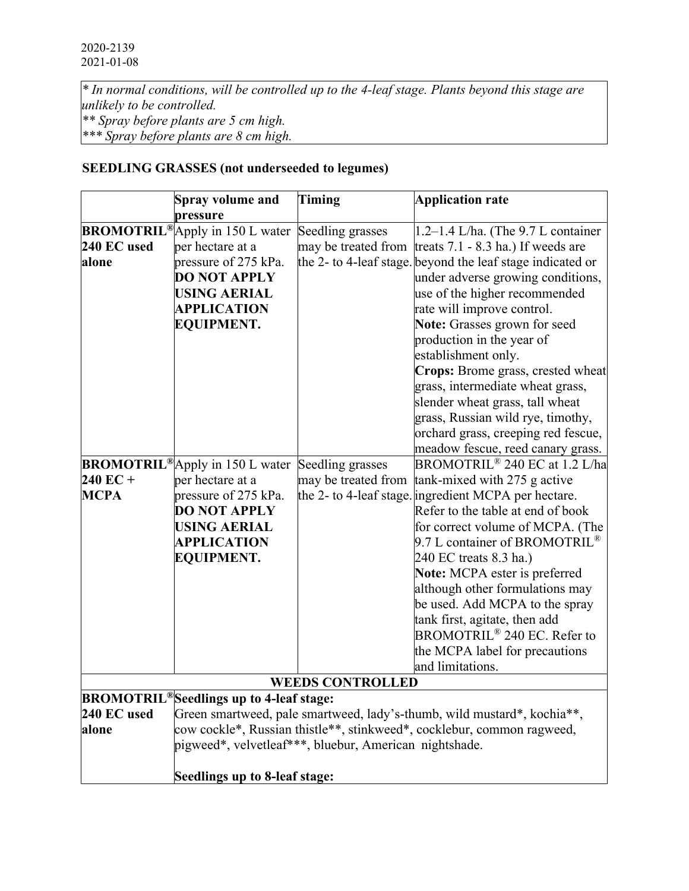*\* In normal conditions, will be controlled up to the 4-leaf stage. Plants beyond this stage are unlikely to be controlled. \*\* Spray before plants are 5 cm high. \*\*\* Spray before plants are 8 cm high.*

# **SEEDLING GRASSES (not underseeded to legumes)**

|             | <b>Spray volume and</b>                                   | Timing                  | <b>Application rate</b>                                                 |  |  |  |
|-------------|-----------------------------------------------------------|-------------------------|-------------------------------------------------------------------------|--|--|--|
|             | pressure<br><b>BROMOTRIL®</b> Apply in 150 L water        | Seedling grasses        | $1.2-1.4$ L/ha. (The 9.7 L container                                    |  |  |  |
| 240 EC used | per hectare at a                                          | may be treated from     | treats $7.1 - 8.3$ ha.) If weeds are                                    |  |  |  |
| alone       | pressure of 275 kPa.                                      |                         | the 2- to 4-leaf stage. beyond the leaf stage indicated or              |  |  |  |
|             | <b>DO NOT APPLY</b>                                       |                         | under adverse growing conditions,                                       |  |  |  |
|             | <b>USING AERIAL</b>                                       |                         | use of the higher recommended                                           |  |  |  |
|             | <b>APPLICATION</b>                                        |                         | rate will improve control.                                              |  |  |  |
|             | <b>EQUIPMENT.</b>                                         |                         | Note: Grasses grown for seed                                            |  |  |  |
|             |                                                           |                         | production in the year of                                               |  |  |  |
|             |                                                           |                         | establishment only.                                                     |  |  |  |
|             |                                                           |                         | Crops: Brome grass, crested wheat                                       |  |  |  |
|             |                                                           |                         | grass, intermediate wheat grass,                                        |  |  |  |
|             |                                                           |                         | slender wheat grass, tall wheat                                         |  |  |  |
|             |                                                           |                         | grass, Russian wild rye, timothy,                                       |  |  |  |
|             |                                                           |                         | orchard grass, creeping red fescue,                                     |  |  |  |
|             |                                                           |                         | meadow fescue, reed canary grass.                                       |  |  |  |
|             | <b>BROMOTRIL®</b> Apply in 150 L water                    | Seedling grasses        | BROMOTRIL <sup>®</sup> 240 EC at 1.2 L/ha                               |  |  |  |
| $240$ EC +  | per hectare at a                                          | may be treated from     | tank-mixed with 275 g active                                            |  |  |  |
| <b>MCPA</b> | pressure of 275 kPa.                                      |                         | the 2- to 4-leaf stage. ingredient MCPA per hectare.                    |  |  |  |
|             | <b>DO NOT APPLY</b>                                       |                         | Refer to the table at end of book                                       |  |  |  |
|             | <b>USING AERIAL</b>                                       |                         | for correct volume of MCPA. (The                                        |  |  |  |
|             | <b>APPLICATION</b>                                        |                         | 9.7 L container of BROMOTRIL <sup>®</sup>                               |  |  |  |
|             | <b>EQUIPMENT.</b>                                         |                         | 240 EC treats 8.3 ha.)                                                  |  |  |  |
|             |                                                           |                         | Note: MCPA ester is preferred                                           |  |  |  |
|             |                                                           |                         | although other formulations may                                         |  |  |  |
|             |                                                           |                         | be used. Add MCPA to the spray                                          |  |  |  |
|             |                                                           |                         | tank first, agitate, then add                                           |  |  |  |
|             |                                                           |                         | BROMOTRIL <sup>®</sup> 240 EC. Refer to                                 |  |  |  |
|             |                                                           |                         | the MCPA label for precautions                                          |  |  |  |
|             |                                                           |                         | and limitations.                                                        |  |  |  |
|             |                                                           | <b>WEEDS CONTROLLED</b> |                                                                         |  |  |  |
|             | <b>BROMOTRIL<sup>®</sup>Seedlings up to 4-leaf stage:</b> |                         |                                                                         |  |  |  |
| 240 EC used |                                                           |                         | Green smartweed, pale smartweed, lady's-thumb, wild mustard*, kochia**, |  |  |  |
| alone       |                                                           |                         | cow cockle*, Russian thistle**, stinkweed*, cocklebur, common ragweed,  |  |  |  |
|             | pigweed*, velvetleaf***, bluebur, American nightshade.    |                         |                                                                         |  |  |  |
|             | Seedlings up to 8-leaf stage:                             |                         |                                                                         |  |  |  |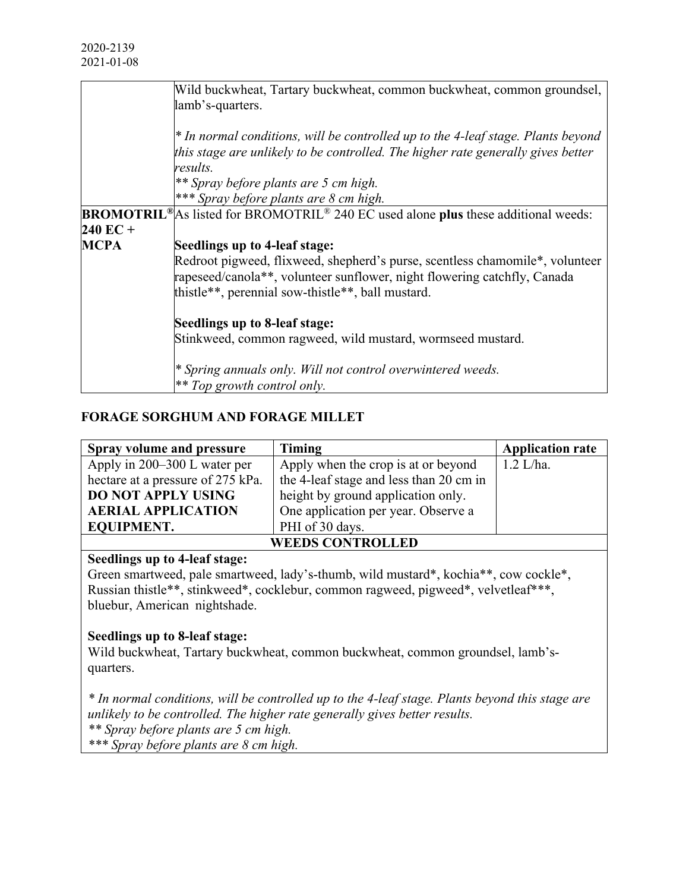|                    | Wild buckwheat, Tartary buckwheat, common buckwheat, common groundsel,                                            |  |  |  |  |  |
|--------------------|-------------------------------------------------------------------------------------------------------------------|--|--|--|--|--|
|                    | lamb's-quarters.                                                                                                  |  |  |  |  |  |
|                    |                                                                                                                   |  |  |  |  |  |
|                    | <sup>*</sup> In normal conditions, will be controlled up to the 4-leaf stage. Plants beyond                       |  |  |  |  |  |
|                    | this stage are unlikely to be controlled. The higher rate generally gives better                                  |  |  |  |  |  |
|                    | results.                                                                                                          |  |  |  |  |  |
|                    | ** Spray before plants are 5 cm high.                                                                             |  |  |  |  |  |
|                    | *** Spray before plants are 8 cm high.                                                                            |  |  |  |  |  |
|                    | <b>BROMOTRIL</b> <sup>®</sup> As listed for BROMOTRIL <sup>®</sup> 240 EC used alone plus these additional weeds: |  |  |  |  |  |
| $240 \text{ EC} +$ |                                                                                                                   |  |  |  |  |  |
| <b>MCPA</b>        | Seedlings up to 4-leaf stage:                                                                                     |  |  |  |  |  |
|                    | Redroot pigweed, flixweed, shepherd's purse, scentless chamomile*, volunteer                                      |  |  |  |  |  |
|                    | rapeseed/canola**, volunteer sunflower, night flowering catchfly, Canada                                          |  |  |  |  |  |
|                    | thistle**, perennial sow-thistle**, ball mustard.                                                                 |  |  |  |  |  |
|                    |                                                                                                                   |  |  |  |  |  |
|                    | Seedlings up to 8-leaf stage:                                                                                     |  |  |  |  |  |
|                    | Stinkweed, common ragweed, wild mustard, wormseed mustard.                                                        |  |  |  |  |  |
|                    |                                                                                                                   |  |  |  |  |  |
|                    | <sup>*</sup> Spring annuals only. Will not control overwintered weeds.                                            |  |  |  |  |  |
|                    | $*$ Top growth control only.                                                                                      |  |  |  |  |  |

# **FORAGE SORGHUM AND FORAGE MILLET**

| Spray volume and pressure         | <b>Timing</b>                           | <b>Application rate</b> |  |  |
|-----------------------------------|-----------------------------------------|-------------------------|--|--|
| Apply in 200–300 L water per      | Apply when the crop is at or beyond     | $1.2$ L/ha.             |  |  |
| hectare at a pressure of 275 kPa. | the 4-leaf stage and less than 20 cm in |                         |  |  |
| <b>DO NOT APPLY USING</b>         | height by ground application only.      |                         |  |  |
| <b>AERIAL APPLICATION</b>         | One application per year. Observe a     |                         |  |  |
| <b>EQUIPMENT.</b>                 | PHI of 30 days.                         |                         |  |  |
| <b>WEEDS CONTROLLED</b>           |                                         |                         |  |  |

# **Seedlings up to 4-leaf stage:**

Green smartweed, pale smartweed, lady's-thumb, wild mustard\*, kochia\*\*, cow cockle\*, Russian thistle\*\*, stinkweed\*, cocklebur, common ragweed, pigweed\*, velvetleaf\*\*\*, bluebur, American nightshade.

#### **Seedlings up to 8-leaf stage:**

Wild buckwheat, Tartary buckwheat, common buckwheat, common groundsel, lamb'squarters.

*\* In normal conditions, will be controlled up to the 4-leaf stage. Plants beyond this stage are unlikely to be controlled. The higher rate generally gives better results. \*\* Spray before plants are 5 cm high. \*\*\* Spray before plants are 8 cm high.*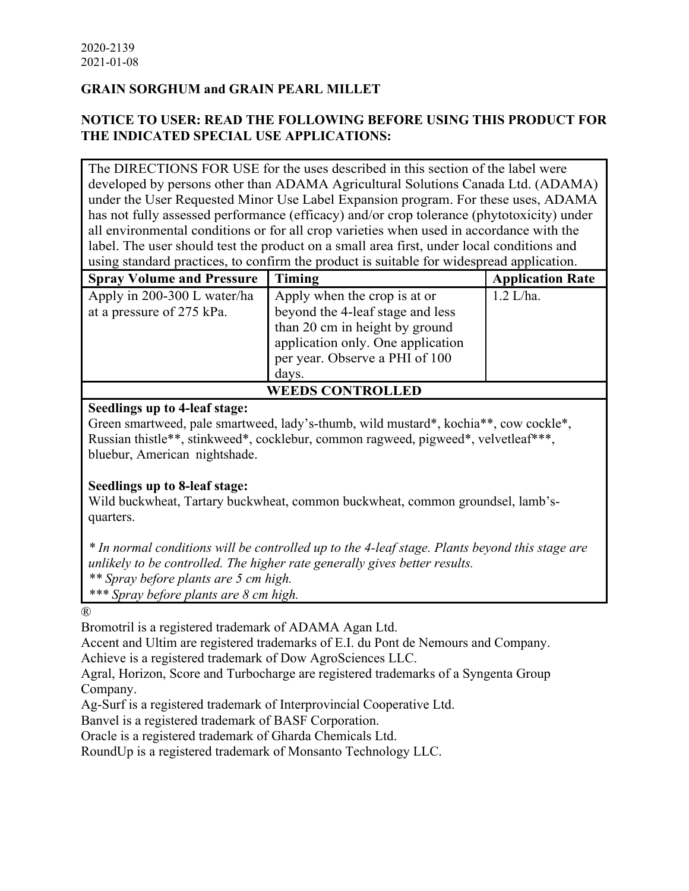# **GRAIN SORGHUM and GRAIN PEARL MILLET**

# **NOTICE TO USER: READ THE FOLLOWING BEFORE USING THIS PRODUCT FOR THE INDICATED SPECIAL USE APPLICATIONS:**

The DIRECTIONS FOR USE for the uses described in this section of the label were developed by persons other than ADAMA Agricultural Solutions Canada Ltd. (ADAMA) under the User Requested Minor Use Label Expansion program. For these uses, ADAMA has not fully assessed performance (efficacy) and/or crop tolerance (phytotoxicity) under all environmental conditions or for all crop varieties when used in accordance with the label. The user should test the product on a small area first, under local conditions and using standard practices, to confirm the product is suitable for widespread application.

| <b>Spray Volume and Pressure</b> | Timing                            | <b>Application Rate</b> |  |  |  |
|----------------------------------|-----------------------------------|-------------------------|--|--|--|
| Apply in 200-300 L water/ha      | Apply when the crop is at or      | $1.2$ L/ha.             |  |  |  |
| at a pressure of 275 kPa.        | beyond the 4-leaf stage and less  |                         |  |  |  |
|                                  | than 20 cm in height by ground    |                         |  |  |  |
|                                  | application only. One application |                         |  |  |  |
|                                  | per year. Observe a PHI of 100    |                         |  |  |  |
|                                  | days.                             |                         |  |  |  |
| <b>WEEDS CONTROLLED</b>          |                                   |                         |  |  |  |

#### **Seedlings up to 4-leaf stage:**

Green smartweed, pale smartweed, lady's-thumb, wild mustard\*, kochia\*\*, cow cockle\*, Russian thistle\*\*, stinkweed\*, cocklebur, common ragweed, pigweed\*, velvetleaf\*\*\*, bluebur, American nightshade.

#### **Seedlings up to 8-leaf stage:**

Wild buckwheat, Tartary buckwheat, common buckwheat, common groundsel, lamb'squarters.

*\* In normal conditions will be controlled up to the 4-leaf stage. Plants beyond this stage are unlikely to be controlled. The higher rate generally gives better results.*

*\*\* Spray before plants are 5 cm high.*

*\*\*\* Spray before plants are 8 cm high.*

®

Bromotril is a registered trademark of ADAMA Agan Ltd.

Accent and Ultim are registered trademarks of E.I. du Pont de Nemours and Company.

Achieve is a registered trademark of Dow AgroSciences LLC.

Agral, Horizon, Score and Turbocharge are registered trademarks of a Syngenta Group Company.

Ag-Surf is a registered trademark of Interprovincial Cooperative Ltd.

Banvel is a registered trademark of BASF Corporation.

Oracle is a registered trademark of Gharda Chemicals Ltd.

RoundUp is a registered trademark of Monsanto Technology LLC.